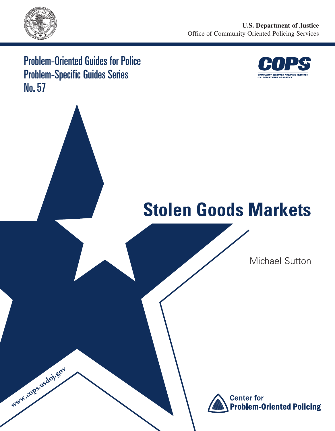

www.cops.usdoj.gov

Problem-Oriented Guides for Police Problem-Specific Guides Series No. 57



# **Stolen Goods Markets**

Michael Sutton

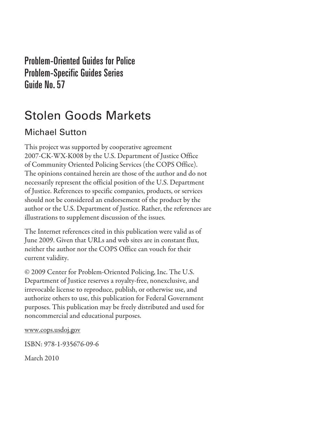Problem-Oriented Guides for Police Problem-Specific Guides Series Guide No. 57

## Stolen Goods Markets

## Michael Sutton

This project was supported by cooperative agreement 2007-CK-WX-K008 by the U.S. Department of Justice Office of Community Oriented Policing Services (the COPS Office). The opinions contained herein are those of the author and do not necessarily represent the official position of the U.S. Department of Justice. References to specific companies, products, or services should not be considered an endorsement of the product by the author or the U.S. Department of Justice. Rather, the references are illustrations to supplement discussion of the issues.

The Internet references cited in this publication were valid as of June 2009. Given that URLs and web sites are in constant flux, neither the author nor the COPS Office can vouch for their current validity.

© 2009 Center for Problem-Oriented Policing, Inc. The U.S. Department of Justice reserves a royalty-free, nonexclusive, and irrevocable license to reproduce, publish, or otherwise use, and authorize others to use, this publication for Federal Government purposes. This publication may be freely distributed and used for noncommercial and educational purposes.

www.cops.usdoj.gov

ISBN: 978-1-935676-09-6

March 2010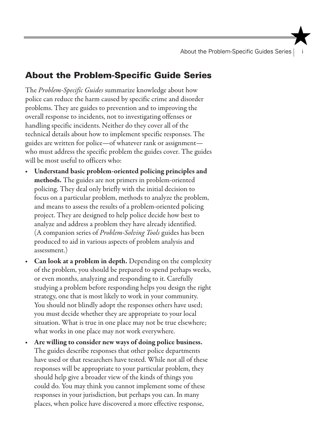About the Problem-Specific Guides Series |

## About the Problem-Specific Guide Series

The *Problem-Specific Guides* summarize knowledge about how police can reduce the harm caused by specific crime and disorder problems. They are guides to prevention and to improving the overall response to incidents, not to investigating offenses or handling specific incidents. Neither do they cover all of the technical details about how to implement specific responses. The guides are written for police—of whatever rank or assignment who must address the specific problem the guides cover. The guides will be most useful to officers who:

- Understand basic problem-oriented policing principles and methods. The guides are not primers in problem-oriented policing. They deal only briefly with the initial decision to focus on a particular problem, methods to analyze the problem, and means to assess the results of a problem-oriented policing project. They are designed to help police decide how best to analyze and address a problem they have already identified. (A companion series of *Problem-Solving Tools* guides has been produced to aid in various aspects of problem analysis and assessment.)
- **Can look at a problem in depth.** Depending on the complexity of the problem, you should be prepared to spend perhaps weeks, or even months, analyzing and responding to it. Carefully studying a problem before responding helps you design the right strategy, one that is most likely to work in your community. You should not blindly adopt the responses others have used; you must decide whether they are appropriate to your local situation. What is true in one place may not be true elsewhere; what works in one place may not work everywhere.
- • Are willing to consider new ways of doing police business. The guides describe responses that other police departments have used or that researchers have tested. While not all of these responses will be appropriate to your particular problem, they should help give a broader view of the kinds of things you could do. You may think you cannot implement some of these responses in your jurisdiction, but perhaps you can. In many places, when police have discovered a more effective response,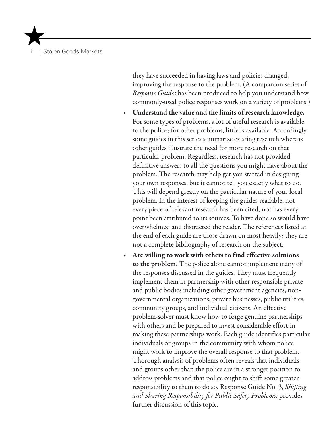| Stolen Goods Markets

they have succeeded in having laws and policies changed, improving the response to the problem. (A companion series of *Response Guides* has been produced to help you understand how commonly-used police responses work on a variety of problems.)

- Understand the value and the limits of research knowledge. For some types of problems, a lot of useful research is available to the police; for other problems, little is available. Accordingly, some guides in this series summarize existing research whereas other guides illustrate the need for more research on that particular problem. Regardless, research has not provided definitive answers to all the questions you might have about the problem. The research may help get you started in designing your own responses, but it cannot tell you exactly what to do. This will depend greatly on the particular nature of your local problem. In the interest of keeping the guides readable, not every piece of relevant research has been cited, nor has every point been attributed to its sources. To have done so would have overwhelmed and distracted the reader. The references listed at the end of each guide are those drawn on most heavily; they are not a complete bibliography of research on the subject.
- Are willing to work with others to find effective solutions to the problem. The police alone cannot implement many of the responses discussed in the guides. They must frequently implement them in partnership with other responsible private and public bodies including other government agencies, nongovernmental organizations, private businesses, public utilities, community groups, and individual citizens. An effective problem-solver must know how to forge genuine partnerships with others and be prepared to invest considerable effort in making these partnerships work. Each guide identifies particular individuals or groups in the community with whom police might work to improve the overall response to that problem. Thorough analysis of problems often reveals that individuals and groups other than the police are in a stronger position to address problems and that police ought to shift some greater responsibility to them to do so. Response Guide No. 3, *Shifting and Sharing Responsibility for Public Safety Problems,* provides further discussion of this topic.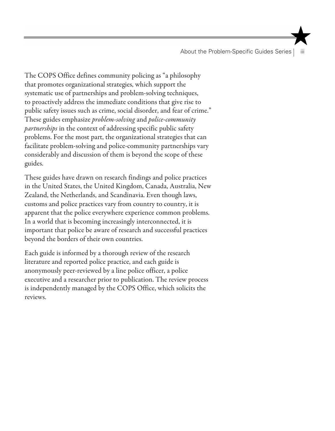About the Problem-Specific Guides Series | iii

The COPS Office defines community policing as "a philosophy that promotes organizational strategies, which support the systematic use of partnerships and problem-solving techniques, to proactively address the immediate conditions that give rise to public safety issues such as crime, social disorder, and fear of crime." These guides emphasize *problem-solving* and *police-community partnerships* in the context of addressing specific public safety problems. For the most part, the organizational strategies that can facilitate problem-solving and police-community partnerships vary considerably and discussion of them is beyond the scope of these guides.

These guides have drawn on research findings and police practices in the United States, the United Kingdom, Canada, Australia, New Zealand, the Netherlands, and Scandinavia. Even though laws, customs and police practices vary from country to country, it is apparent that the police everywhere experience common problems. In a world that is becoming increasingly interconnected, it is important that police be aware of research and successful practices beyond the borders of their own countries.

Each guide is informed by a thorough review of the research literature and reported police practice, and each guide is anonymously peer-reviewed by a line police officer, a police executive and a researcher prior to publication. The review process is independently managed by the COPS Office, which solicits the reviews.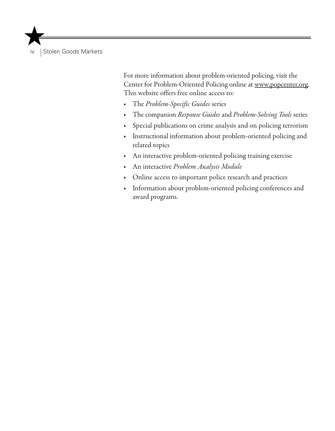iv | Stolen Goods Markets

For more information about problem-oriented policing, visit the Center for Problem-Oriented Policing online at www.popcenter.org. This website offers free online access to:

- • The *Problem-Specific Guides* series
- • The companion *Response Guides* and *Problem-Solving Tools* series
- Special publications on crime analysis and on policing terrorism
- • Instructional information about problem-oriented policing and related topics
- • An interactive problem-oriented policing training exercise
- An interactive Problem Analysis Module
- Online access to important police research and practices
- • Information about problem-oriented policing conferences and award programs.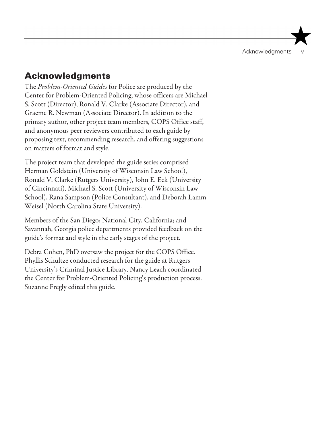Acknowledgments

## Acknowledgments

The *Problem-Oriented Guides* for Police are produced by the Center for Problem-Oriented Policing, whose officers are Michael S. Scott (Director), Ronald V. Clarke (Associate Director), and Graeme R. Newman (Associate Director). In addition to the primary author, other project team members, COPS Office staff, and anonymous peer reviewers contributed to each guide by proposing text, recommending research, and offering suggestions on matters of format and style.

The project team that developed the guide series comprised Herman Goldstein (University of Wisconsin Law School), Ronald V. Clarke (Rutgers University), John E. Eck (University of Cincinnati), Michael S. Scott (University of Wisconsin Law School), Rana Sampson (Police Consultant), and Deborah Lamm Weisel (North Carolina State University).

Members of the San Diego; National City, California; and Savannah, Georgia police departments provided feedback on the guide's format and style in the early stages of the project.

Debra Cohen, PhD oversaw the project for the COPS Office. Phyllis Schultze conducted research for the guide at Rutgers University's Criminal Justice Library. Nancy Leach coordinated the Center for Problem-Oriented Policing's production process. Suzanne Fregly edited this guide.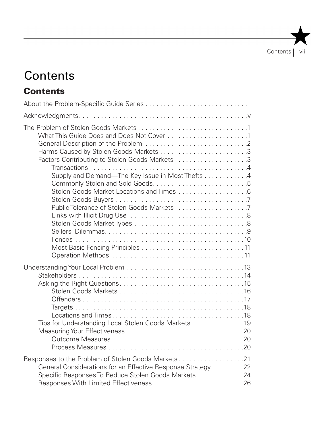## **Contents**

## **Contents**

| What This Guide Does and Does Not Cover 1<br>Supply and Demand—The Key Issue in Most Thefts 4<br>Stolen Goods Market Locations and Times 6                                                                           |
|----------------------------------------------------------------------------------------------------------------------------------------------------------------------------------------------------------------------|
| Tips for Understanding Local Stolen Goods Markets 19                                                                                                                                                                 |
| Responses to the Problem of Stolen Goods Markets21<br>General Considerations for an Effective Response Strategy 22<br>Specific Responses To Reduce Stolen Goods Markets 24<br>Responses With Limited Effectiveness26 |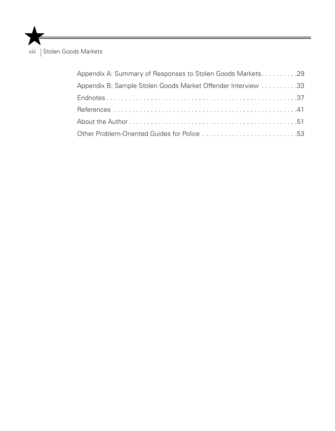viii | Stolen Goods Markets

| Appendix A: Summary of Responses to Stolen Goods Markets29   |  |
|--------------------------------------------------------------|--|
| Appendix B: Sample Stolen Goods Market Offender Interview 33 |  |
|                                                              |  |
|                                                              |  |
|                                                              |  |
| Other Problem-Oriented Guides for Police 53                  |  |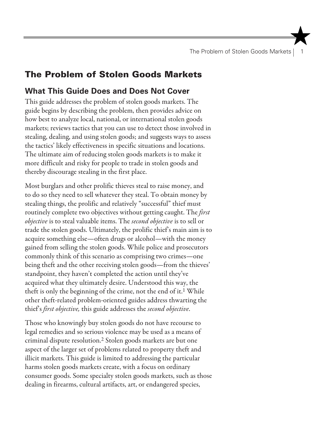The Problem of Stolen Goods Markets | 1

## The Problem of Stolen Goods Markets

#### **What This Guide Does and Does Not Cover**

This guide addresses the problem of stolen goods markets. The guide begins by describing the problem, then provides advice on how best to analyze local, national, or international stolen goods markets; reviews tactics that you can use to detect those involved in stealing, dealing, and using stolen goods; and suggests ways to assess the tactics' likely effectiveness in specific situations and locations. The ultimate aim of reducing stolen goods markets is to make it more difficult and risky for people to trade in stolen goods and thereby discourage stealing in the first place.

Most burglars and other prolific thieves steal to raise money, and to do so they need to sell whatever they steal. To obtain money by stealing things, the prolific and relatively "successful" thief must routinely complete two objectives without getting caught. The *first objective* is to steal valuable items. The *second objective* is to sell or trade the stolen goods. Ultimately, the prolific thief's main aim is to acquire something else—often drugs or alcohol—with the money gained from selling the stolen goods. While police and prosecutors commonly think of this scenario as comprising two crimes—one being theft and the other receiving stolen goods—from the thieves' standpoint, they haven't completed the action until they've acquired what they ultimately desire. Understood this way, the theft is only the beginning of the crime, not the end of it.<sup>1</sup> While other theft-related problem-oriented guides address thwarting the thief's *first objective,* this guide addresses the *second objective*.

Those who knowingly buy stolen goods do not have recourse to legal remedies and so serious violence may be used as a means of criminal dispute resolution.2 Stolen goods markets are but one aspect of the larger set of problems related to property theft and illicit markets. This guide is limited to addressing the particular harms stolen goods markets create, with a focus on ordinary consumer goods. Some specialty stolen goods markets, such as those dealing in firearms, cultural artifacts, art, or endangered species,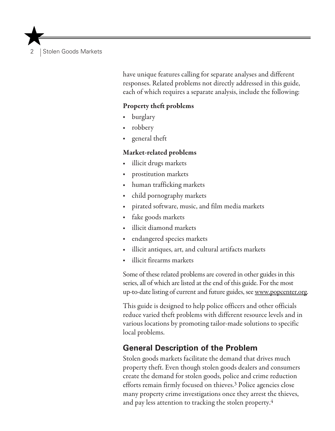2 Stolen Goods Markets

have unique features calling for separate analyses and different responses. Related problems not directly addressed in this guide, each of which requires a separate analysis, include the following:

#### Property theft problems

- **burglary**
- robbery
- general theft

#### Market-related problems

- illicit drugs markets
- prostitution markets
- human trafficking markets
- child pornography markets
- pirated software, music, and film media markets
- fake goods markets
- illicit diamond markets
- endangered species markets
- illicit antiques, art, and cultural artifacts markets
- illicit firearms markets

Some of these related problems are covered in other guides in this series, all of which are listed at the end of this guide. For the most up-to-date listing of current and future guides, see www.popcenter.org.

This guide is designed to help police officers and other officials reduce varied theft problems with different resource levels and in various locations by promoting tailor-made solutions to specific local problems.

#### **General Description of the Problem**

Stolen goods markets facilitate the demand that drives much property theft. Even though stolen goods dealers and consumers create the demand for stolen goods, police and crime reduction efforts remain firmly focused on thieves.3 Police agencies close many property crime investigations once they arrest the thieves, and pay less attention to tracking the stolen property.4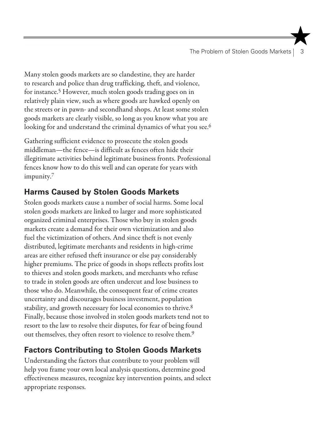The Problem of Stolen Goods Markets | 3

Many stolen goods markets are so clandestine, they are harder to research and police than drug trafficking, theft, and violence, for instance.5 However, much stolen goods trading goes on in relatively plain view, such as where goods are hawked openly on the streets or in pawn- and secondhand shops. At least some stolen goods markets are clearly visible, so long as you know what you are looking for and understand the criminal dynamics of what you see.<sup>6</sup>

Gathering sufficient evidence to prosecute the stolen goods middleman—the fence—is difficult as fences often hide their illegitimate activities behind legitimate business fronts. Professional fences know how to do this well and can operate for years with impunity.7

## **Harms Caused by Stolen Goods Markets**

Stolen goods markets cause a number of social harms. Some local stolen goods markets are linked to larger and more sophisticated organized criminal enterprises. Those who buy in stolen goods markets create a demand for their own victimization and also fuel the victimization of others. And since theft is not evenly distributed, legitimate merchants and residents in high-crime areas are either refused theft insurance or else pay considerably higher premiums. The price of goods in shops reflects profits lost to thieves and stolen goods markets, and merchants who refuse to trade in stolen goods are often undercut and lose business to those who do. Meanwhile, the consequent fear of crime creates uncertainty and discourages business investment, population stability, and growth necessary for local economies to thrive.<sup>8</sup> Finally, because those involved in stolen goods markets tend not to resort to the law to resolve their disputes, for fear of being found out themselves, they often resort to violence to resolve them.9

## **Factors Contributing to Stolen Goods Markets**

Understanding the factors that contribute to your problem will help you frame your own local analysis questions, determine good effectiveness measures, recognize key intervention points, and select appropriate responses.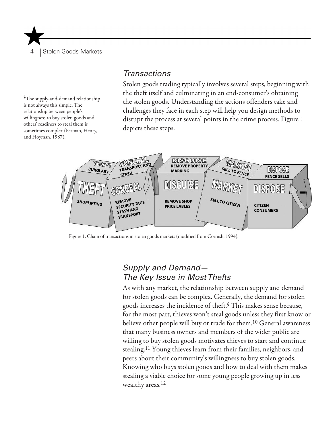Stolen Goods Markets

<sup>§</sup>The supply-and-demand relationship is not always this simple. The relationship between people's willingness to buy stolen goods and others' readiness to steal them is sometimes complex (Ferman, Henry, and Hoyman, 1987).

#### *Transactions*

Stolen goods trading typically involves several steps, beginning with the theft itself and culminating in an end-consumer's obtaining the stolen goods. Understanding the actions offenders take and challenges they face in each step will help you design methods to disrupt the process at several points in the crime process. Figure 1 depicts these steps.



Figure 1. Chain of transactions in stolen goods markets (modified from Cornish, 1994).

#### *Supply and Demand— The Key Issue in Most Thefts*

As with any market, the relationship between supply and demand for stolen goods can be complex. Generally, the demand for stolen goods increases the incidence of theft.§ This makes sense because, for the most part, thieves won't steal goods unless they first know or believe other people will buy or trade for them.10 General awareness that many business owners and members of the wider public are willing to buy stolen goods motivates thieves to start and continue stealing.11 Young thieves learn from their families, neighbors, and peers about their community's willingness to buy stolen goods. Knowing who buys stolen goods and how to deal with them makes stealing a viable choice for some young people growing up in less wealthy areas.12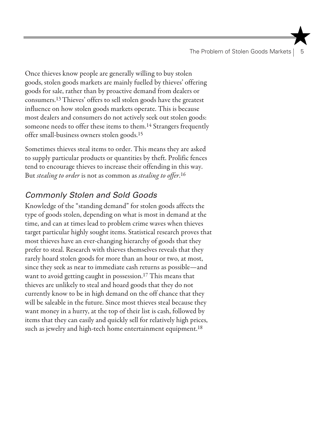The Problem of Stolen Goods Markets |

Once thieves know people are generally willing to buy stolen goods, stolen goods markets are mainly fuelled by thieves' offering goods for sale, rather than by proactive demand from dealers or consumers.13 Thieves' offers to sell stolen goods have the greatest influence on how stolen goods markets operate. This is because most dealers and consumers do not actively seek out stolen goods: someone needs to offer these items to them.14 Strangers frequently offer small-business owners stolen goods.15

Sometimes thieves steal items to order. This means they are asked to supply particular products or quantities by theft. Prolific fences tend to encourage thieves to increase their offending in this way. But *stealing to order* is not as common as *stealing to offer*. 16

## *Commonly Stolen and Sold Goods*

Knowledge of the "standing demand" for stolen goods affects the type of goods stolen, depending on what is most in demand at the time, and can at times lead to problem crime waves when thieves target particular highly sought items. Statistical research proves that most thieves have an ever-changing hierarchy of goods that they prefer to steal. Research with thieves themselves reveals that they rarely hoard stolen goods for more than an hour or two, at most, since they seek as near to immediate cash returns as possible—and want to avoid getting caught in possession.17 This means that thieves are unlikely to steal and hoard goods that they do not currently know to be in high demand on the off chance that they will be saleable in the future. Since most thieves steal because they want money in a hurry, at the top of their list is cash, followed by items that they can easily and quickly sell for relatively high prices, such as jewelry and high-tech home entertainment equipment.<sup>18</sup>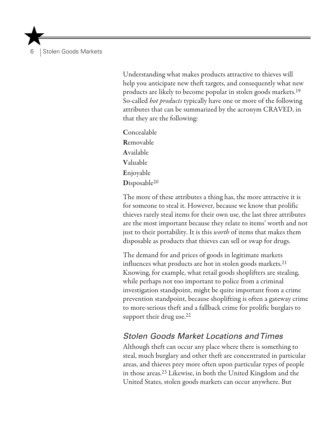6 Stolen Goods Markets

Understanding what makes products attractive to thieves will help you anticipate new theft targets, and consequently what new products are likely to become popular in stolen goods markets.19 So-called *hot products* typically have one or more of the following attributes that can be summarized by the acronym CRAVED, in that they are the following:

Concealable Removable Available Valuable Enjoyable Disposable<sup>20</sup>

The more of these attributes a thing has, the more attractive it is for someone to steal it. However, because we know that prolific thieves rarely steal items for their own use, the last three attributes are the most important because they relate to items' worth and not just to their portability. It is this *worth* of items that makes them disposable as products that thieves can sell or swap for drugs.

The demand for and prices of goods in legitimate markets influences what products are hot in stolen goods markets.21 Knowing, for example, what retail goods shoplifters are stealing, while perhaps not too important to police from a criminal investigation standpoint, might be quite important from a crime prevention standpoint, because shoplifting is often a gateway crime to more-serious theft and a fallback crime for prolific burglars to support their drug use.<sup>22</sup>

#### *Stolen Goods Market Locations and Times*

Although theft can occur any place where there is something to steal, much burglary and other theft are concentrated in particular areas, and thieves prey more often upon particular types of people in those areas.23 Likewise, in both the United Kingdom and the United States, stolen goods markets can occur anywhere. But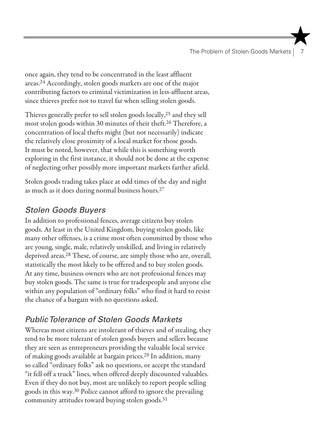The Problem of Stolen Goods Markets |

once again, they tend to be concentrated in the least affluent areas.24 Accordingly, stolen goods markets are one of the major contributing factors to criminal victimization in less-affluent areas, since thieves prefer not to travel far when selling stolen goods.

Thieves generally prefer to sell stolen goods locally,25 and they sell most stolen goods within 30 minutes of their theft.26 Therefore, a concentration of local thefts might (but not necessarily) indicate the relatively close proximity of a local market for those goods. It must be noted, however, that while this is something worth exploring in the first instance, it should not be done at the expense of neglecting other possibly more important markets farther afield.

Stolen goods trading takes place at odd times of the day and night as much as it does during normal business hours.27

## *Stolen Goods Buyers*

In addition to professional fences, average citizens buy stolen goods. At least in the United Kingdom, buying stolen goods, like many other offenses, is a crime most often committed by those who are young, single, male, relatively unskilled, and living in relatively deprived areas.28 These, of course, are simply those who are, overall, statistically the most likely to be offered and to buy stolen goods. At any time, business owners who are not professional fences may buy stolen goods. The same is true for tradespeople and anyone else within any population of "ordinary folks" who find it hard to resist the chance of a bargain with no questions asked.

## *Public Tolerance of Stolen Goods Markets*

Whereas most citizens are intolerant of thieves and of stealing, they tend to be more tolerant of stolen goods buyers and sellers because they are seen as entrepreneurs providing the valuable local service of making goods available at bargain prices.29 In addition, many so called "ordinary folks" ask no questions, or accept the standard "it fell off a truck" lines, when offered deeply discounted valuables. Even if they do not buy, most are unlikely to report people selling goods in this way.30 Police cannot afford to ignore the prevailing community attitudes toward buying stolen goods.31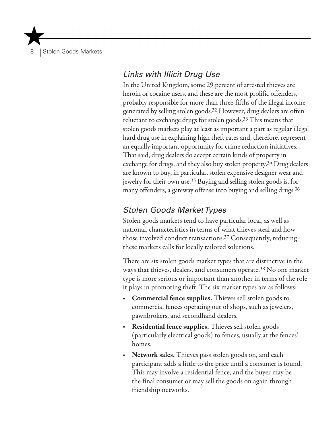**Stolen Goods Markets** 

## *Links with Illicit Drug Use*

In the United Kingdom, some 29 percent of arrested thieves are heroin or cocaine users, and these are the most prolific offenders, probably responsible for more than three-fifths of the illegal income generated by selling stolen goods.32 However, drug dealers are often reluctant to exchange drugs for stolen goods.33 This means that stolen goods markets play at least as important a part as regular illegal hard drug use in explaining high theft rates and, therefore, represent an equally important opportunity for crime reduction initiatives. That said, drug dealers do accept certain kinds of property in exchange for drugs, and they also buy stolen property.34 Drug dealers are known to buy, in particular, stolen expensive designer wear and jewelry for their own use.35 Buying and selling stolen goods is, for many offenders, a gateway offense into buying and selling drugs.<sup>36</sup>

#### *Stolen Goods Market Types*

Stolen goods markets tend to have particular local, as well as national, characteristics in terms of what thieves steal and how those involved conduct transactions.37 Consequently, reducing these markets calls for locally tailored solutions.

There are six stolen goods market types that are distinctive in the ways that thieves, dealers, and consumers operate.38 No one market type is more serious or important than another in terms of the role it plays in promoting theft. The six market types are as follows:

- Commercial fence supplies. Thieves sell stolen goods to commercial fences operating out of shops, such as jewelers, pawnbrokers, and secondhand dealers.
- **Residential fence supplies.** Thieves sell stolen goods (particularly electrical goods) to fences, usually at the fences' homes.
- Network sales. Thieves pass stolen goods on, and each participant adds a little to the price until a consumer is found. This may involve a residential fence, and the buyer may be the final consumer or may sell the goods on again through friendship networks.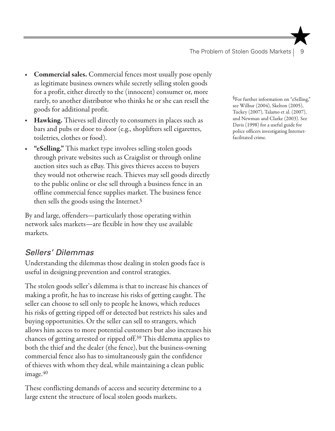- **Commercial sales.** Commercial fences most usually pose openly as legitimate business owners while secretly selling stolen goods for a profit, either directly to the (innocent) consumer or, more rarely, to another distributor who thinks he or she can resell the goods for additional profit.
- Hawking. Thieves sell directly to consumers in places such as bars and pubs or door to door (e.g., shoplifters sell cigarettes, toiletries, clothes or food).
- "eSelling." This market type involves selling stolen goods through private websites such as Craigslist or through online auction sites such as eBay. This gives thieves access to buyers they would not otherwise reach. Thieves may sell goods directly to the public online or else sell through a business fence in an offline commercial fence supplies market. The business fence then sells the goods using the Internet.§

By and large, offenders—particularly those operating within network sales markets—are flexible in how they use available markets.

#### *Sellers' Dilemmas*

Understanding the dilemmas those dealing in stolen goods face is useful in designing prevention and control strategies.

The stolen goods seller's dilemma is that to increase his chances of making a profit, he has to increase his risks of getting caught. The seller can choose to sell only to people he knows, which reduces his risks of getting ripped off or detected but restricts his sales and buying opportunities. Or the seller can sell to strangers, which allows him access to more potential customers but also increases his chances of getting arrested or ripped off.39 This dilemma applies to both the thief and the dealer (the fence), but the business-owning commercial fence also has to simultaneously gain the confidence of thieves with whom they deal, while maintaining a clean public image. $40$ 

These conflicting demands of access and security determine to a large extent the structure of local stolen goods markets.

§For further information on "eSelling," see Wilbur (2004), Skelton (2005), Tuckey (2007), Talamo et al. (2007), and Newman and Clarke (2003). See Davis (1998) for a useful guide for police officers investigating Internetfacilitated crime.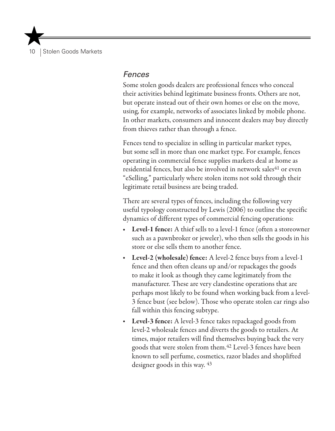10 Stolen Goods Markets

#### *Fences*

Some stolen goods dealers are professional fences who conceal their activities behind legitimate business fronts. Others are not, but operate instead out of their own homes or else on the move, using, for example, networks of associates linked by mobile phone. In other markets, consumers and innocent dealers may buy directly from thieves rather than through a fence.

Fences tend to specialize in selling in particular market types, but some sell in more than one market type. For example, fences operating in commercial fence supplies markets deal at home as residential fences, but also be involved in network sales<sup>41</sup> or even "eSelling," particularly where stolen items not sold through their legitimate retail business are being traded.

There are several types of fences, including the following very useful typology constructed by Lewis (2006) to outline the specific dynamics of different types of commercial fencing operations:

- **Level-1 fence:** A thief sells to a level-1 fence (often a storeowner such as a pawnbroker or jeweler), who then sells the goods in his store or else sells them to another fence.
- Level-2 (wholesale) fence: A level-2 fence buys from a level-1 fence and then often cleans up and/or repackages the goods to make it look as though they came legitimately from the manufacturer. These are very clandestine operations that are perhaps most likely to be found when working back from a level-3 fence bust (see below). Those who operate stolen car rings also fall within this fencing subtype.
- Level-3 fence: A level-3 fence takes repackaged goods from level-2 wholesale fences and diverts the goods to retailers. At times, major retailers will find themselves buying back the very goods that were stolen from them.42 Level-3 fences have been known to sell perfume, cosmetics, razor blades and shoplifted designer goods in this way. 43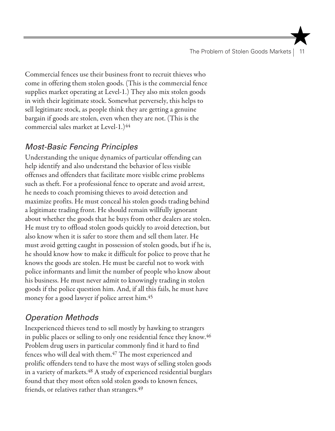The Problem of Stolen Goods Markets | 11

Commercial fences use their business front to recruit thieves who come in offering them stolen goods. (This is the commercial fence supplies market operating at Level-1.) They also mix stolen goods in with their legitimate stock. Somewhat perversely, this helps to sell legitimate stock, as people think they are getting a genuine bargain if goods are stolen, even when they are not. (This is the commercial sales market at Level-1.)<sup>44</sup>

#### *Most-Basic Fencing Principles*

Understanding the unique dynamics of particular offending can help identify and also understand the behavior of less visible offenses and offenders that facilitate more visible crime problems such as theft. For a professional fence to operate and avoid arrest, he needs to coach promising thieves to avoid detection and maximize profits. He must conceal his stolen goods trading behind a legitimate trading front. He should remain willfully ignorant about whether the goods that he buys from other dealers are stolen. He must try to offload stolen goods quickly to avoid detection, but also know when it is safer to store them and sell them later. He must avoid getting caught in possession of stolen goods, but if he is, he should know how to make it difficult for police to prove that he knows the goods are stolen. He must be careful not to work with police informants and limit the number of people who know about his business. He must never admit to knowingly trading in stolen goods if the police question him. And, if all this fails, he must have money for a good lawyer if police arrest him.45

## *Operation Methods*

Inexperienced thieves tend to sell mostly by hawking to strangers in public places or selling to only one residential fence they know.<sup>46</sup> Problem drug users in particular commonly find it hard to find fences who will deal with them.<sup>47</sup> The most experienced and prolific offenders tend to have the most ways of selling stolen goods in a variety of markets.<sup>48</sup> A study of experienced residential burglars found that they most often sold stolen goods to known fences, friends, or relatives rather than strangers.<sup>49</sup>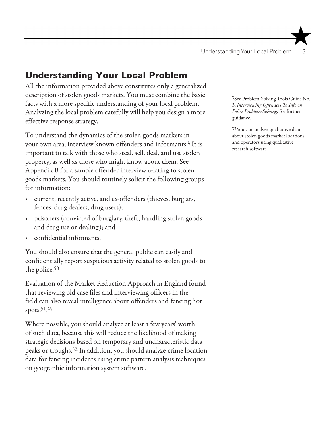## Understanding Your Local Problem

All the information provided above constitutes only a generalized description of stolen goods markets. You must combine the basic facts with a more specific understanding of your local problem. Analyzing the local problem carefully will help you design a more effective response strategy.

To understand the dynamics of the stolen goods markets in your own area, interview known offenders and informants.§ It is important to talk with those who steal, sell, deal, and use stolen property, as well as those who might know about them. See Appendix B for a sample offender interview relating to stolen goods markets. You should routinely solicit the following groups for information:

- current, recently active, and ex-offenders (thieves, burglars, fences, drug dealers, drug users);
- prisoners (convicted of burglary, theft, handling stolen goods and drug use or dealing); and
- confidential informants.

You should also ensure that the general public can easily and confidentially report suspicious activity related to stolen goods to the police.50

Evaluation of the Market Reduction Approach in England found that reviewing old case files and interviewing officers in the field can also reveal intelligence about offenders and fencing hot spots.51, §§

Where possible, you should analyze at least a few years' worth of such data, because this will reduce the likelihood of making strategic decisions based on temporary and uncharacteristic data peaks or troughs.52 In addition, you should analyze crime location data for fencing incidents using crime pattern analysis techniques on geographic information system software.

§See Problem-Solving Tools Guide No. 3, *Interviewing Offenders To Inform Police Problem-Solving,* for further guidance.

§§You can analyze qualitative data about stolen goods market locations and operators using qualitative research software.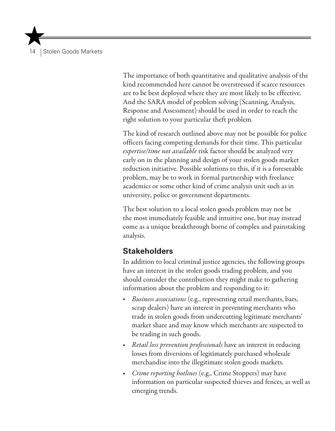14 Stolen Goods Markets

The importance of both quantitative and qualitative analysis of the kind recommended here cannot be overstressed if scarce resources are to be best deployed where they are most likely to be effective. And the SARA model of problem solving (Scanning, Analysis, Response and Assessment) should be used in order to reach the right solution to your particular theft problem.

The kind of research outlined above may not be possible for police officers facing competing demands for their time. This particular *expertise/time not available* risk factor should be analyzed very early on in the planning and design of your stolen goods market reduction initiative. Possible solutions to this, if it is a foreseeable problem, may be to work in formal partnership with freelance academics or some other kind of crime analysis unit such as in university, police or government departments.

The best solution to a local stolen goods problem may not be the most immediately feasible and intuitive one, but may instead come as a unique breakthrough borne of complex and painstaking analysis.

#### **Stakeholders**

In addition to local criminal justice agencies, the following groups have an interest in the stolen goods trading problem, and you should consider the contribution they might make to gathering information about the problem and responding to it:

- • *Business associations* (e.g., representing retail merchants, bars, scrap dealers) have an interest in preventing merchants who trade in stolen goods from undercutting legitimate merchants' market share and may know which merchants are suspected to be trading in such goods.
- *Retail loss prevention professionals* have an interest in reducing losses from diversions of legitimately purchased wholesale merchandise into the illegitimate stolen goods markets.
- *Crime reporting hotlines* (e.g., Crime Stoppers) may have information on particular suspected thieves and fences, as well as emerging trends.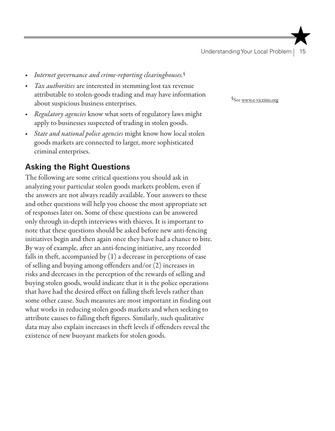- Internet governance and crime-reporting clearinghouses.<sup>§</sup>
- *Tax authorities* are interested in stemming lost tax revenue attributable to stolen-goods trading and may have information about suspicious business enterprises.
- *Regulatory agencies* know what sorts of regulatory laws might apply to businesses suspected of trading in stolen goods.
- State and national police agencies might know how local stolen goods markets are connected to larger, more sophisticated criminal enterprises.

## **Asking the Right Questions**

The following are some critical questions you should ask in analyzing your particular stolen goods markets problem, even if the answers are not always readily available. Your answers to these and other questions will help you choose the most appropriate set of responses later on. Some of these questions can be answered only through in-depth interviews with thieves. It is important to note that these questions should be asked before new anti-fencing initiatives begin and then again once they have had a chance to bite. By way of example, after an anti-fencing initiative, any recorded falls in theft, accompanied by (1) a decrease in perceptions of ease of selling and buying among offenders and/or (2) increases in risks and decreases in the perception of the rewards of selling and buying stolen goods, would indicate that it is the police operations that have had the desired effect on falling theft levels rather than some other cause. Such measures are most important in finding out what works in reducing stolen goods markets and when seeking to attribute causes to falling theft figures. Similarly, such qualitative data may also explain increases in theft levels if offenders reveal the existence of new buoyant markets for stolen goods.

§See www.e-victims.org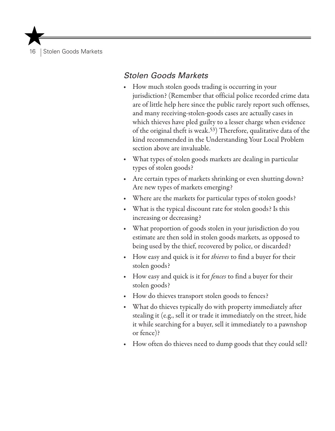16 | Stolen Goods Markets

#### *Stolen Goods Markets*

- How much stolen goods trading is occurring in your jurisdiction? (Remember that official police recorded crime data are of little help here since the public rarely report such offenses, and many receiving-stolen-goods cases are actually cases in which thieves have pled guilty to a lesser charge when evidence of the original theft is weak.53) Therefore, qualitative data of the kind recommended in the Understanding Your Local Problem section above are invaluable.
- • What types of stolen goods markets are dealing in particular types of stolen goods?
- Are certain types of markets shrinking or even shutting down? Are new types of markets emerging?
- Where are the markets for particular types of stolen goods?
- What is the typical discount rate for stolen goods? Is this increasing or decreasing?
- What proportion of goods stolen in your jurisdiction do you estimate are then sold in stolen goods markets, as opposed to being used by the thief, recovered by police, or discarded?
- How easy and quick is it for *thieves* to find a buyer for their stolen goods?
- How easy and quick is it for *fences* to find a buyer for their stolen goods?
- How do thieves transport stolen goods to fences?
- What do thieves typically do with property immediately after stealing it (e.g., sell it or trade it immediately on the street, hide it while searching for a buyer, sell it immediately to a pawnshop or fence)?
- How often do thieves need to dump goods that they could sell?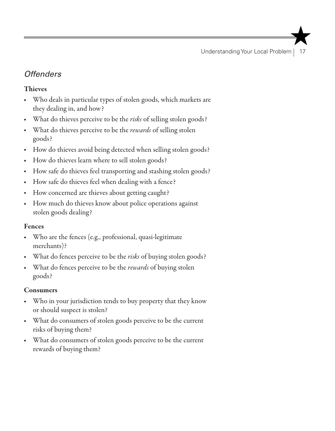Understanding Your Local Problem | 17

## *Offenders*

#### Thieves

- Who deals in particular types of stolen goods, which markets are they dealing in, and how?
- What do thieves perceive to be the *risks* of selling stolen goods?
- • What do thieves perceive to be the *rewards* of selling stolen goods?
- How do thieves avoid being detected when selling stolen goods?
- How do thieves learn where to sell stolen goods?
- How safe do thieves feel transporting and stashing stolen goods?
- How safe do thieves feel when dealing with a fence?
- How concerned are thieves about getting caught?
- How much do thieves know about police operations against stolen goods dealing?

#### Fences

- Who are the fences (e.g., professional, quasi-legitimate merchants)?
- What do fences perceive to be the *risks* of buying stolen goods?
- • What do fences perceive to be the *rewards* of buying stolen goods?

#### Consumers

- Who in your jurisdiction tends to buy property that they know or should suspect is stolen?
- What do consumers of stolen goods perceive to be the current risks of buying them?
- What do consumers of stolen goods perceive to be the current rewards of buying them?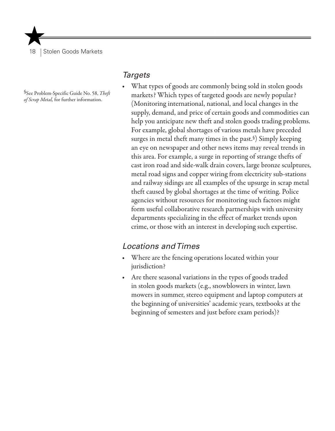18 | Stolen Goods Markets

§See Problem-Specific Guide No. 58, *Theft of Scrap Metal,* for further information.

#### *Targets*

What types of goods are commonly being sold in stolen goods markets? Which types of targeted goods are newly popular? (Monitoring international, national, and local changes in the supply, demand, and price of certain goods and commodities can help you anticipate new theft and stolen goods trading problems. For example, global shortages of various metals have preceded surges in metal theft many times in the past.§) Simply keeping an eye on newspaper and other news items may reveal trends in this area. For example, a surge in reporting of strange thefts of cast iron road and side-walk drain covers, large bronze sculptures, metal road signs and copper wiring from electricity sub-stations and railway sidings are all examples of the upsurge in scrap metal theft caused by global shortages at the time of writing. Police agencies without resources for monitoring such factors might form useful collaborative research partnerships with university departments specializing in the effect of market trends upon crime, or those with an interest in developing such expertise.

#### *Locations and Times*

- Where are the fencing operations located within your jurisdiction?
- Are there seasonal variations in the types of goods traded in stolen goods markets (e.g., snowblowers in winter, lawn mowers in summer, stereo equipment and laptop computers at the beginning of universities' academic years, textbooks at the beginning of semesters and just before exam periods)?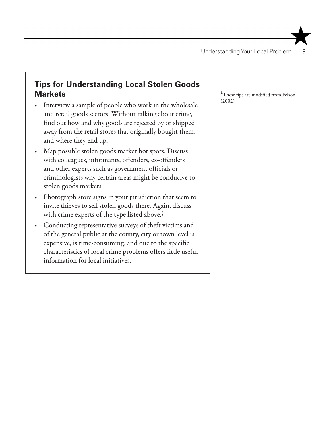## **Tips for Understanding Local Stolen Goods Markets**

- Interview a sample of people who work in the wholesale and retail goods sectors. Without talking about crime, find out how and why goods are rejected by or shipped away from the retail stores that originally bought them, and where they end up.
- Map possible stolen goods market hot spots. Discuss with colleagues, informants, offenders, ex-offenders and other experts such as government officials or criminologists why certain areas might be conducive to stolen goods markets.
- Photograph store signs in your jurisdiction that seem to invite thieves to sell stolen goods there. Again, discuss with crime experts of the type listed above.§
- Conducting representative surveys of theft victims and of the general public at the county, city or town level is expensive, is time-consuming, and due to the specific characteristics of local crime problems offers little useful information for local initiatives.

§These tips are modified from Felson (2002).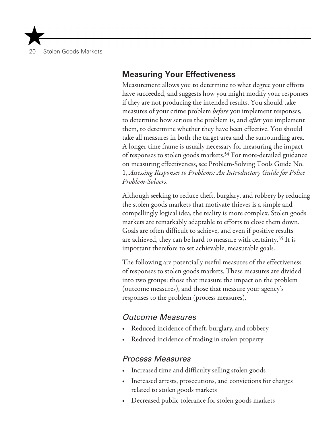20 | Stolen Goods Markets

#### **Measuring Your Effectiveness**

Measurement allows you to determine to what degree your efforts have succeeded, and suggests how you might modify your responses if they are not producing the intended results. You should take measures of your crime problem *before* you implement responses, to determine how serious the problem is, and *after* you implement them, to determine whether they have been effective. You should take all measures in both the target area and the surrounding area. A longer time frame is usually necessary for measuring the impact of responses to stolen goods markets.54 For more-detailed guidance on measuring effectiveness, see Problem-Solving Tools Guide No. 1, *Assessing Responses to Problems: An Introductory Guide for Police Problem-Solvers*.

Although seeking to reduce theft, burglary, and robbery by reducing the stolen goods markets that motivate thieves is a simple and compellingly logical idea, the reality is more complex. Stolen goods markets are remarkably adaptable to efforts to close them down. Goals are often difficult to achieve, and even if positive results are achieved, they can be hard to measure with certainty.55 It is important therefore to set achievable, measurable goals.

The following are potentially useful measures of the effectiveness of responses to stolen goods markets. These measures are divided into two groups: those that measure the impact on the problem (outcome measures), and those that measure your agency's responses to the problem (process measures).

#### *Outcome Measures*

- Reduced incidence of theft, burglary, and robbery
- Reduced incidence of trading in stolen property

#### *Process Measures*

- Increased time and difficulty selling stolen goods
- Increased arrests, prosecutions, and convictions for charges related to stolen goods markets
- Decreased public tolerance for stolen goods markets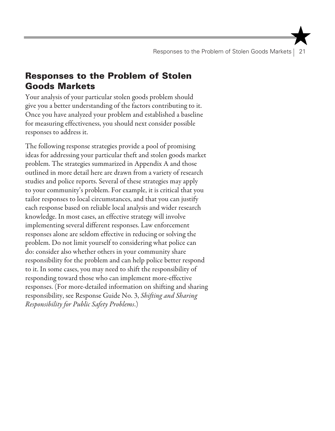## Responses to the Problem of Stolen Goods Markets

Your analysis of your particular stolen goods problem should give you a better understanding of the factors contributing to it. Once you have analyzed your problem and established a baseline for measuring effectiveness, you should next consider possible responses to address it.

The following response strategies provide a pool of promising ideas for addressing your particular theft and stolen goods market problem. The strategies summarized in Appendix A and those outlined in more detail here are drawn from a variety of research studies and police reports. Several of these strategies may apply to your community's problem. For example, it is critical that you tailor responses to local circumstances, and that you can justify each response based on reliable local analysis and wider research knowledge. In most cases, an effective strategy will involve implementing several different responses. Law enforcement responses alone are seldom effective in reducing or solving the problem. Do not limit yourself to considering what police can do: consider also whether others in your community share responsibility for the problem and can help police better respond to it. In some cases, you may need to shift the responsibility of responding toward those who can implement more-effective responses. (For more-detailed information on shifting and sharing responsibility, see Response Guide No. 3, *Shifting and Sharing Responsibility for Public Safety Problems*.)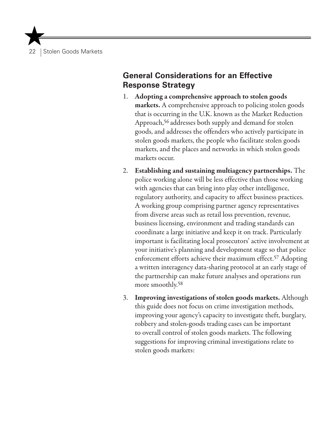22 | Stolen Goods Markets

### **General Considerations for an Effective Response Strategy**

- 1. Adopting a comprehensive approach to stolen goods markets. A comprehensive approach to policing stolen goods that is occurring in the U.K. known as the Market Reduction Approach,<sup>56</sup> addresses both supply and demand for stolen goods, and addresses the offenders who actively participate in stolen goods markets, the people who facilitate stolen goods markets, and the places and networks in which stolen goods markets occur.
- 2. Establishing and sustaining multiagency partnerships. The police working alone will be less effective than those working with agencies that can bring into play other intelligence, regulatory authority, and capacity to affect business practices. A working group comprising partner agency representatives from diverse areas such as retail loss prevention, revenue, business licensing, environment and trading standards can coordinate a large initiative and keep it on track. Particularly important is facilitating local prosecutors' active involvement at your initiative's planning and development stage so that police enforcement efforts achieve their maximum effect.57 Adopting a written interagency data-sharing protocol at an early stage of the partnership can make future analyses and operations run more smoothly.58
- 3. Improving investigations of stolen goods markets. Although this guide does not focus on crime investigation methods, improving your agency's capacity to investigate theft, burglary, robbery and stolen-goods trading cases can be important to overall control of stolen goods markets. The following suggestions for improving criminal investigations relate to stolen goods markets: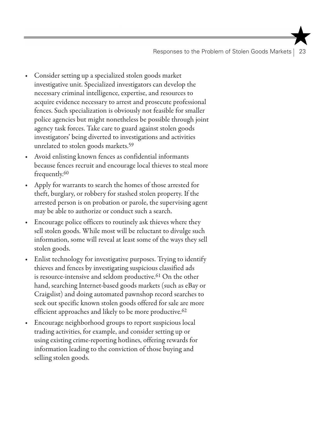Responses to the Problem of Stolen Goods Markets | 23

- Consider setting up a specialized stolen goods market investigative unit. Specialized investigators can develop the necessary criminal intelligence, expertise, and resources to acquire evidence necessary to arrest and prosecute professional fences. Such specialization is obviously not feasible for smaller police agencies but might nonetheless be possible through joint agency task forces. Take care to guard against stolen goods investigators' being diverted to investigations and activities unrelated to stolen goods markets.<sup>59</sup>
- Avoid enlisting known fences as confidential informants because fences recruit and encourage local thieves to steal more frequently.60
- Apply for warrants to search the homes of those arrested for theft, burglary, or robbery for stashed stolen property. If the arrested person is on probation or parole, the supervising agent may be able to authorize or conduct such a search.
- Encourage police officers to routinely ask thieves where they sell stolen goods. While most will be reluctant to divulge such information, some will reveal at least some of the ways they sell stolen goods.
- Enlist technology for investigative purposes. Trying to identify thieves and fences by investigating suspicious classified ads is resource-intensive and seldom productive.<sup>61</sup> On the other hand, searching Internet-based goods markets (such as eBay or Craigslist) and doing automated pawnshop record searches to seek out specific known stolen goods offered for sale are more efficient approaches and likely to be more productive.<sup>62</sup>
- Encourage neighborhood groups to report suspicious local trading activities, for example, and consider setting up or using existing crime-reporting hotlines, offering rewards for information leading to the conviction of those buying and selling stolen goods.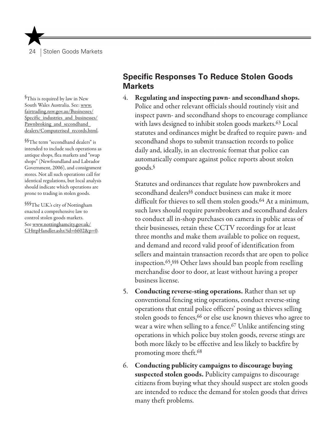§This is required by law in New South Wales Australia. See: www. fairtrading.nsw.gov.au/Businesses/ Specific industries and businesses/ Pawnbroking\_and\_secondhand dealers/Computerised\_records.html.

§§The term "secondhand dealers" is intended to include such operations as antique shops, flea markets and "swap shops" (Newfoundland and Labrador Government, 2006), and consignment stores. Not all such operations call for identical regulations, but local analysis should indicate which operations are prone to trading in stolen goods.

§§§The U.K.'s city of Nottingham enacted a comprehensive law to control stolen goods markets. See www.nottinghamcity.gov.uk/ CHttpHandler.ashx?id=6602&p=0.

### **Specific Responses To Reduce Stolen Goods Markets**

4. Regulating and inspecting pawn- and secondhand shops. Police and other relevant officials should routinely visit and inspect pawn- and secondhand shops to encourage compliance with laws designed to inhibit stolen goods markets.63 Local statutes and ordinances might be drafted to require pawn- and secondhand shops to submit transaction records to police daily and, ideally, in an electronic format that police can automatically compare against police reports about stolen goods.§

Statutes and ordinances that regulate how pawnbrokers and secondhand dealers§§ conduct business can make it more difficult for thieves to sell them stolen goods.<sup>64</sup> At a minimum, such laws should require pawnbrokers and secondhand dealers to conduct all in-shop purchases on camera in public areas of their businesses, retain these CCTV recordings for at least three months and make them available to police on request, and demand and record valid proof of identification from sellers and maintain transaction records that are open to police inspection.65, §§§ Other laws should ban people from reselling merchandise door to door, at least without having a proper business license.

- 5. Conducting reverse-sting operations. Rather than set up conventional fencing sting operations, conduct reverse-sting operations that entail police officers' posing as thieves selling stolen goods to fences, <sup>66</sup> or else use known thieves who agree to wear a wire when selling to a fence.<sup>67</sup> Unlike antifencing sting operations in which police buy stolen goods, reverse stings are both more likely to be effective and less likely to backfire by promoting more theft.68
- 6. Conducting publicity campaigns to discourage buying suspected stolen goods. Publicity campaigns to discourage citizens from buying what they should suspect are stolen goods are intended to reduce the demand for stolen goods that drives many theft problems.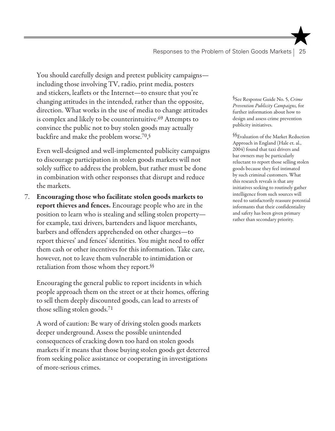You should carefully design and pretest publicity campaigns including those involving TV, radio, print media, posters and stickers, leaflets or the Internet—to ensure that you're changing attitudes in the intended, rather than the opposite, direction. What works in the use of media to change attitudes is complex and likely to be counterintuitive.<sup>69</sup> Attempts to convince the public not to buy stolen goods may actually backfire and make the problem worse.70, §

Even well-designed and well-implemented publicity campaigns to discourage participation in stolen goods markets will not solely suffice to address the problem, but rather must be done in combination with other responses that disrupt and reduce the markets.

7. Encouraging those who facilitate stolen goods markets to report thieves and fences. Encourage people who are in the position to learn who is stealing and selling stolen property for example, taxi drivers, bartenders and liquor merchants, barbers and offenders apprehended on other charges—to report thieves' and fences' identities. You might need to offer them cash or other incentives for this information. Take care, however, not to leave them vulnerable to intimidation or retaliation from those whom they report.§§

Encouraging the general public to report incidents in which people approach them on the street or at their homes, offering to sell them deeply discounted goods, can lead to arrests of those selling stolen goods.71

A word of caution: Be wary of driving stolen goods markets deeper underground. Assess the possible unintended consequences of cracking down too hard on stolen goods markets if it means that those buying stolen goods get deterred from seeking police assistance or cooperating in investigations of more-serious crimes.

§See Response Guide No. 5, *Crime Prevention Publicity Campaigns,* for further information about how to design and assess crime prevention publicity initiatives.

§§Evaluation of the Market Reduction Approach in England (Hale et. al., 2004) found that taxi drivers and bar owners may be particularly reluctant to report those selling stolen goods because they feel intimated by such criminal customers. What this research reveals is that any initiatives seeking to routinely gather intelligence from such sources will need to satisfactorily reassure potential informants that their confidentiality and safety has been given primary rather than secondary priority.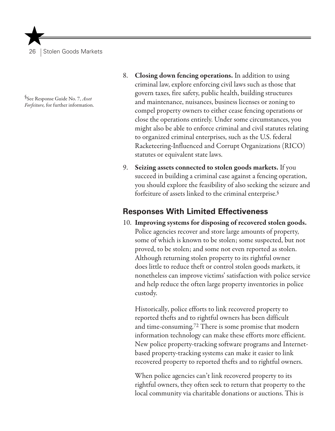§See Response Guide No. 7, *Asset Forfeiture,* for further information.

- 8. Closing down fencing operations. In addition to using criminal law, explore enforcing civil laws such as those that govern taxes, fire safety, public health, building structures and maintenance, nuisances, business licenses or zoning to compel property owners to either cease fencing operations or close the operations entirely. Under some circumstances, you might also be able to enforce criminal and civil statutes relating to organized criminal enterprises, such as the U.S. federal Racketeering-Influenced and Corrupt Organizations (RICO) statutes or equivalent state laws.
- 9. Seizing assets connected to stolen goods markets. If you succeed in building a criminal case against a fencing operation, you should explore the feasibility of also seeking the seizure and forfeiture of assets linked to the criminal enterprise.§

## **Responses With Limited Effectiveness**

10. Improving systems for disposing of recovered stolen goods. Police agencies recover and store large amounts of property, some of which is known to be stolen; some suspected, but not proved, to be stolen; and some not even reported as stolen. Although returning stolen property to its rightful owner does little to reduce theft or control stolen goods markets, it nonetheless can improve victims' satisfaction with police service and help reduce the often large property inventories in police custody.

Historically, police efforts to link recovered property to reported thefts and to rightful owners has been difficult and time-consuming.72 There is some promise that modern information technology can make these efforts more efficient. New police property-tracking software programs and Internetbased property-tracking systems can make it easier to link recovered property to reported thefts and to rightful owners.

When police agencies can't link recovered property to its rightful owners, they often seek to return that property to the local community via charitable donations or auctions. This is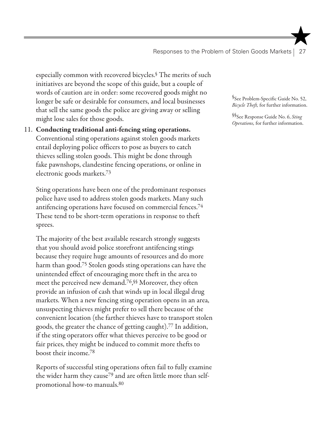especially common with recovered bicycles.§ The merits of such initiatives are beyond the scope of this guide, but a couple of words of caution are in order: some recovered goods might no longer be safe or desirable for consumers, and local businesses that sell the same goods the police are giving away or selling might lose sales for those goods.

## 11. Conducting traditional anti-fencing sting operations. Conventional sting operations against stolen goods markets entail deploying police officers to pose as buyers to catch thieves selling stolen goods. This might be done through fake pawnshops, clandestine fencing operations, or online in electronic goods markets.73

Sting operations have been one of the predominant responses police have used to address stolen goods markets. Many such antifencing operations have focused on commercial fences.74 These tend to be short-term operations in response to theft sprees.

The majority of the best available research strongly suggests that you should avoid police storefront antifencing stings because they require huge amounts of resources and do more harm than good.75 Stolen goods sting operations can have the unintended effect of encouraging more theft in the area to meet the perceived new demand.76, §§ Moreover, they often provide an infusion of cash that winds up in local illegal drug markets. When a new fencing sting operation opens in an area, unsuspecting thieves might prefer to sell there because of the convenient location (the farther thieves have to transport stolen goods, the greater the chance of getting caught).77 In addition, if the sting operators offer what thieves perceive to be good or fair prices, they might be induced to commit more thefts to boost their income.78

Reports of successful sting operations often fail to fully examine the wider harm they cause79 and are often little more than selfpromotional how-to manuals.80

§See Problem-Specific Guide No. 52, *Bicycle Theft,* for further information.

§§See Response Guide No. 6, *Sting Operations,* for further information.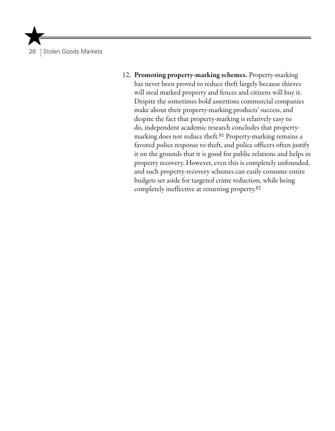12. Promoting property-marking schemes. Property-marking has never been proved to reduce theft largely because thieves will steal marked property and fences and citizens will buy it. Despite the sometimes bold assertions commercial companies make about their property-marking products' success, and despite the fact that property-marking is relatively easy to do, independent academic research concludes that propertymarking does not reduce theft.81 Property-marking remains a favored police response to theft, and police officers often justify it on the grounds that it is good for public relations and helps in property recovery. However, even this is completely unfounded, and such property-recovery schemes can easily consume entire budgets set aside for targeted crime reduction, while being completely ineffective at returning property.82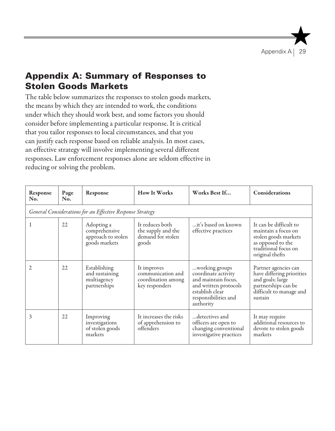# Appendix A: Summary of Responses to Stolen Goods Markets

The table below summarizes the responses to stolen goods markets, the means by which they are intended to work, the conditions under which they should work best, and some factors you should consider before implementing a particular response. It is critical that you tailor responses to local circumstances, and that you can justify each response based on reliable analysis. In most cases, an effective strategy will involve implementing several different responses. Law enforcement responses alone are seldom effective in reducing or solving the problem.

| Response<br>No.                                           | Page<br>No. | Response                                                           | <b>How It Works</b>                                                      | Works Best If                                                                                                                                 | Considerations                                                                                                                        |  |  |  |
|-----------------------------------------------------------|-------------|--------------------------------------------------------------------|--------------------------------------------------------------------------|-----------------------------------------------------------------------------------------------------------------------------------------------|---------------------------------------------------------------------------------------------------------------------------------------|--|--|--|
| General Considerations for an Effective Response Strategy |             |                                                                    |                                                                          |                                                                                                                                               |                                                                                                                                       |  |  |  |
| 1                                                         | 22          | Adopting a<br>comprehensive<br>approach to stolen<br>goods markets | It reduces both<br>the supply and the<br>demand for stolen<br>goods      | it's based on known<br>effective practices                                                                                                    | It can be difficult to<br>maintain a focus on<br>stolen goods markets<br>as opposed to the<br>traditional focus on<br>original thefts |  |  |  |
| 2                                                         | 22          | Establishing<br>and sustaining<br>multiagency<br>partnerships      | It improves<br>communication and<br>coordination among<br>key responders | working groups<br>coordinate activity<br>and maintain focus,<br>and written protocols<br>establish clear<br>responsibilities and<br>authority | Partner agencies can<br>have differing priorities<br>and goals; large<br>partnerships can be<br>difficult to manage and<br>sustain    |  |  |  |
| 3                                                         | 22          | Improving<br>investigations<br>of stolen goods<br>markets          | It increases the risks<br>of apprehension to<br>offenders                | detectives and<br>officers are open to<br>changing conventional<br>investigative practices                                                    | It may require<br>additional resources to<br>devote to stolen goods<br>markets                                                        |  |  |  |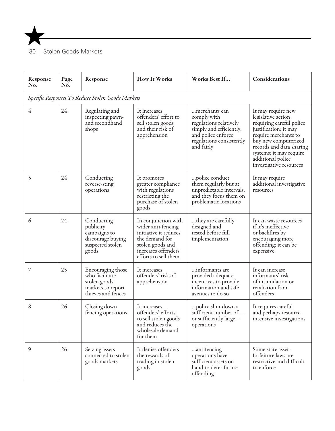

| Response<br>No.                                   | Page<br>No. | Response                                                                                       | <b>How It Works</b>                                                                                                                                      | Works Best If                                                                                                                                      | Considerations                                                                                                                                                                                                                                       |  |  |  |
|---------------------------------------------------|-------------|------------------------------------------------------------------------------------------------|----------------------------------------------------------------------------------------------------------------------------------------------------------|----------------------------------------------------------------------------------------------------------------------------------------------------|------------------------------------------------------------------------------------------------------------------------------------------------------------------------------------------------------------------------------------------------------|--|--|--|
| Specific Responses To Reduce Stolen Goods Markets |             |                                                                                                |                                                                                                                                                          |                                                                                                                                                    |                                                                                                                                                                                                                                                      |  |  |  |
| 4                                                 | 24          | Regulating and<br>inspecting pawn-<br>and secondhand<br>shops                                  | It increases<br>offenders' effort to<br>sell stolen goods<br>and their risk of<br>apprehension                                                           | …merchants can<br>comply with<br>regulations relatively<br>simply and efficiently,<br>and police enforce<br>regulations consistently<br>and fairly | It may require new<br>legislative action<br>requiring careful police<br>justification; it may<br>require merchants to<br>buy new computerized<br>records and data sharing<br>systems; it may require<br>additional police<br>investigative resources |  |  |  |
| 5                                                 | 24          | Conducting<br>reverse-sting<br>operations                                                      | It promotes<br>greater compliance<br>with regulations<br>restricting the<br>purchase of stolen<br>goods                                                  | police conduct<br>them regularly but at<br>unpredictable intervals,<br>and they focus them on<br>problematic locations                             | It may require<br>additional investigative<br>resources                                                                                                                                                                                              |  |  |  |
| 6                                                 | 24          | Conducting<br>publicity<br>campaigns to<br>discourage buying<br>suspected stolen<br>goods      | In conjunction with<br>wider anti-fencing<br>initiative it reduces<br>the demand for<br>stolen goods and<br>increases offenders'<br>efforts to sell them | they are carefully<br>designed and<br>tested before full<br>implementation                                                                         | It can waste resources<br>if it's ineffective<br>or backfires by<br>encouraging more<br>offending; it can be<br>expensive                                                                                                                            |  |  |  |
| 7                                                 | 25          | Encouraging those<br>who facilitate<br>stolen goods<br>markets to report<br>thieves and fences | It increases<br>offenders' risk of<br>apprehension                                                                                                       | informants are<br>provided adequate<br>incentives to provide<br>information and safe<br>avenues to do so                                           | It can increase<br>informants' risk<br>of intimidation or<br>retaliation from<br>offenders                                                                                                                                                           |  |  |  |
| 8                                                 | 26          | Closing down<br>fencing operations                                                             | It increases<br>offenders' efforts<br>to sell stolen goods<br>and reduces the<br>wholesale demand<br>for them                                            | police shut down a<br>sufficient number of-<br>or sufficiently large—<br>operations                                                                | It requires careful<br>and perhaps resource-<br>intensive investigations                                                                                                                                                                             |  |  |  |
| 9                                                 | 26          | Seizing assets<br>connected to stolen<br>goods markets                                         | It denies offenders<br>the rewards of<br>trading in stolen<br>goods                                                                                      | antifencing<br>operations have<br>sufficient assets on<br>hand to deter future<br>offending                                                        | Some state asset-<br>forfeiture laws are<br>restrictive and difficult<br>to enforce                                                                                                                                                                  |  |  |  |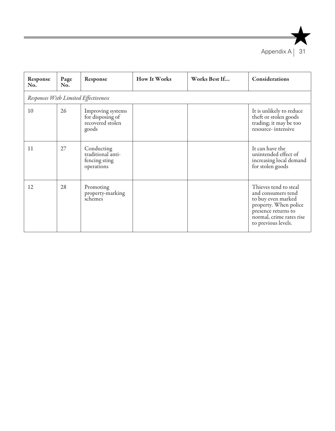

| Response<br>No.                      | Page<br>No. | Response                                                           | How It Works | Works Best If | <b>Considerations</b>                                                                                                                                                |  |  |
|--------------------------------------|-------------|--------------------------------------------------------------------|--------------|---------------|----------------------------------------------------------------------------------------------------------------------------------------------------------------------|--|--|
| Responses With Limited Effectiveness |             |                                                                    |              |               |                                                                                                                                                                      |  |  |
| 10                                   | 26          | Improving systems<br>for disposing of<br>recovered stolen<br>goods |              |               | It is unlikely to reduce<br>theft or stolen goods<br>trading; it may be too<br>resource-intensive                                                                    |  |  |
| 11                                   | 27          | Conducting<br>traditional anti-<br>fencing sting<br>operations     |              |               | It can have the<br>unintended effect of<br>increasing local demand<br>for stolen goods                                                                               |  |  |
| 12                                   | 28          | Promoting<br>property-marking<br>schemes                           |              |               | Thieves tend to steal<br>and consumers tend<br>to buy even marked<br>property. When police<br>presence returns to<br>normal, crime rates rise<br>to previous levels. |  |  |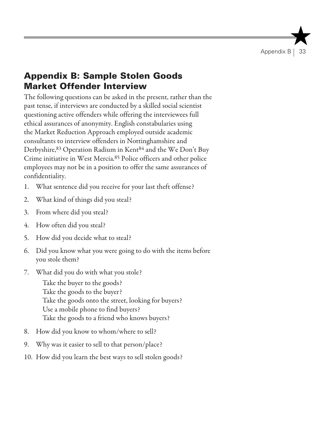# Appendix B: Sample Stolen Goods Market Offender Interview

The following questions can be asked in the present, rather than the past tense, if interviews are conducted by a skilled social scientist questioning active offenders while offering the interviewees full ethical assurances of anonymity. English constabularies using the Market Reduction Approach employed outside academic consultants to interview offenders in Nottinghamshire and Derbyshire,83 Operation Radium in Kent84 and the We Don't Buy Crime initiative in West Mercia.85 Police officers and other police employees may not be in a position to offer the same assurances of confidentiality.

- 1. What sentence did you receive for your last theft offense?
- 2. What kind of things did you steal?
- 3. From where did you steal?
- 4. How often did you steal?
- 5. How did you decide what to steal?
- 6. Did you know what you were going to do with the items before you stole them?
- 7. What did you do with what you stole?

Take the buyer to the goods? Take the goods to the buyer? Take the goods onto the street, looking for buyers? Use a mobile phone to find buyers? Take the goods to a friend who knows buyers?

- 8. How did you know to whom/where to sell?
- 9. Why was it easier to sell to that person/place?
- 10. How did you learn the best ways to sell stolen goods?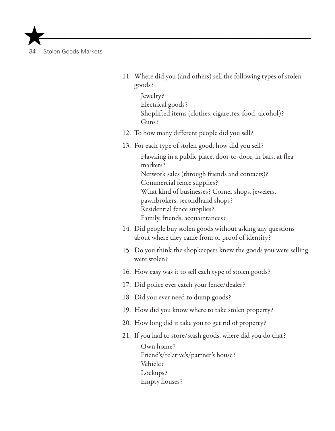- 11. Where did you (and others) sell the following types of stolen goods?
	- Jewelry? Electrical goods? Shoplifted items (clothes, cigarettes, food, alcohol)? Guns?
- 12. To how many different people did you sell?
- 13. For each type of stolen good, how did you sell?

Hawking in a public place, door-to-door, in bars, at flea markets? Network sales (through friends and contacts)? Commercial fence supplies? What kind of businesses? Corner shops, jewelers, pawnbrokers, secondhand shops? Residential fence supplies? Family, friends, acquaintances?

- 14. Did people buy stolen goods without asking any questions about where they came from or proof of identity?
- 15. Do you think the shopkeepers knew the goods you were selling were stolen?
- 16. How easy was it to sell each type of stolen goods?
- 17. Did police ever catch your fence/dealer?
- 18. Did you ever need to dump goods?
- 19. How did you know where to take stolen property?
- 20. How long did it take you to get rid of property?
- 21. If you had to store/stash goods, where did you do that?

Own home? Friend's/relative's/partner's house? Vehicle? Lockups? Empty houses?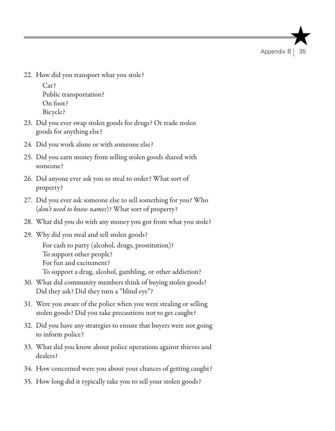Appendix B

22. How did you transport what you stole?

Car? Public transportation? On foot? Bicycle?

- 23. Did you ever swap stolen goods for drugs? Or trade stolen goods for anything else?
- 24. Did you work alone or with someone else?
- 25. Did you earn money from selling stolen goods shared with someone?
- 26. Did anyone ever ask you to steal to order? What sort of property?
- 27. Did you ever ask someone else to sell something for you? Who (*don't need to know names*)? What sort of property?
- 28. What did you do with any money you got from what you stole?
- 29. Why did you steal and sell stolen goods? For cash to party (alcohol, drugs, prostitution)? To support other people? For fun and excitement? To support a drug, alcohol, gambling, or other addiction?
- 30. What did community members think of buying stolen goods? Did they ask? Did they turn a "blind eye"?
- 31. Were you aware of the police when you were stealing or selling stolen goods? Did you take precautions not to get caught?
- 32. Did you have any strategies to ensure that buyers were not going to inform police?
- 33. What did you know about police operations against thieves and dealers?
- 34. How concerned were you about your chances of getting caught?
- 35. How long did it typically take you to sell your stolen goods?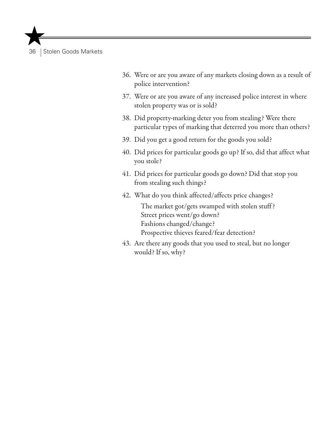- 36. Were or are you aware of any markets closing down as a result of police intervention?
- 37. Were or are you aware of any increased police interest in where stolen property was or is sold?
- 38. Did property-marking deter you from stealing? Were there particular types of marking that deterred you more than others?
- 39. Did you get a good return for the goods you sold?
- 40. Did prices for particular goods go up? If so, did that affect what you stole?
- 41. Did prices for particular goods go down? Did that stop you from stealing such things?
- 42. What do you think affected/affects price changes?

The market got/gets swamped with stolen stuff ? Street prices went/go down? Fashions changed/change? Prospective thieves feared/fear detection?

43. Are there any goods that you used to steal, but no longer would? If so, why?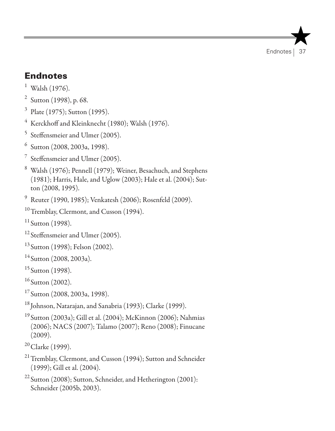# Endnotes

- $1$  Walsh (1976).
- <sup>2</sup> Sutton (1998), p. 68.
- <sup>3</sup> Plate (1975); Sutton (1995).
- $4$  Kerckhoff and Kleinknecht (1980); Walsh (1976).
- <sup>5</sup> Steffensmeier and Ulmer (2005).
- <sup>6</sup> Sutton (2008, 2003a, 1998).
- <sup>7</sup> Steffensmeier and Ulmer (2005).
- <sup>8</sup> Walsh (1976); Pennell (1979); Weiner, Besachuch, and Stephens (1981); Harris, Hale, and Uglow (2003); Hale et al. (2004); Sutton (2008, 1995).
- <sup>9</sup> Reuter (1990, 1985); Venkatesh (2006); Rosenfeld (2009).
- <sup>10</sup>Tremblay, Clermont, and Cusson (1994).
- $11$  Sutton (1998).
- <sup>12</sup> Steffensmeier and Ulmer (2005).
- <sup>13</sup> Sutton (1998); Felson (2002).
- $14$  Sutton (2008, 2003a).
- $15$  Sutton (1998).
- $16$  Sutton (2002).
- $17$  Sutton (2008, 2003a, 1998).
- <sup>18</sup> Johnson, Natarajan, and Sanabria (1993); Clarke (1999).
- <sup>19</sup> Sutton (2003a); Gill et al. (2004); McKinnon (2006); Nahmias (2006); NACS (2007); Talamo (2007); Reno (2008); Finucane (2009).
- $20$  Clarke (1999).
- <sup>21</sup> Tremblay, Clermont, and Cusson (1994); Sutton and Schneider (1999); Gill et al. (2004).
- $22$  Sutton (2008); Sutton, Schneider, and Hetherington (2001): Schneider (2005b, 2003).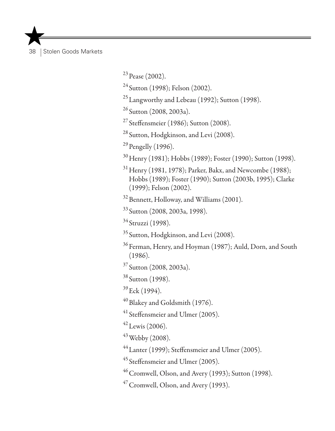$^{23}$  Pease (2002).

<sup>24</sup> Sutton (1998); Felson (2002).

25Langworthy and Lebeau (1992); Sutton (1998).

 $26$  Sutton (2008, 2003a).

 $27$  Steffensmeier (1986); Sutton (2008).

<sup>28</sup> Sutton, Hodgkinson, and Levi (2008).

 $^{29}$  Pengelly (1996).

<sup>30</sup> Henry (1981); Hobbs (1989); Foster (1990); Sutton (1998).

 $31$  Henry (1981, 1978); Parker, Bakx, and Newcombe (1988); Hobbs (1989); Foster (1990); Sutton (2003b, 1995); Clarke (1999); Felson (2002).

<sup>32</sup> Bennett, Holloway, and Williams (2001).

<sup>33</sup> Sutton (2008, 2003a, 1998).

<sup>34</sup> Struzzi (1998).

<sup>35</sup> Sutton, Hodgkinson, and Levi (2008).

<sup>36</sup> Ferman, Henry, and Hoyman (1987): Auld, Dorn, and South (1986).

<sup>37</sup> Sutton (2008, 2003a).

<sup>38</sup> Sutton (1998).

 $39$  Eck (1994).

 $^{40}$ Blakey and Goldsmith (1976).

<sup>41</sup> Steffensmeier and Ulmer (2005).

 $^{42}$  Lewis (2006).

 $43$  Webby (2008).

44Lanter (1999); Steffensmeier and Ulmer (2005).

<sup>45</sup> Steffensmeier and Ulmer (2005).

 $46$  Cromwell, Olson, and Avery (1993); Sutton (1998).

 $47$  Cromwell, Olson, and Avery (1993).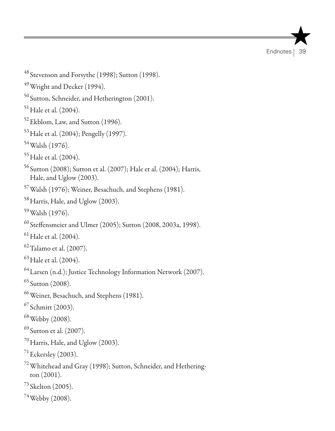**Endnotes** 

```
49Wright and Decker (1994).
50 Sutton, Schneider, and Hetherington (2001).
51 Hale et al. (2004).
52Ekblom, Law, and Sutton (1996).
53Hale et al. (2004); Pengelly (1997).
54Walsh (1976).
<sup>55</sup> Hale et al. (2004).
56 Sutton (2008); Sutton et al. (2007); Hale et al. (2004); Harris, 
  Hale, and Uglow (2003).
57Walsh (1976); Weiner, Besachuch, and Stephens (1981).
<sup>58</sup> Harris, Hale, and Uglow (2003).
59Walsh (1976).
60 Steffensmeier and Ulmer (2005); Sutton (2008, 2003a, 1998).
^{61} Hale et al. (2004).
62Talamo et al. (2007).
63Hale et al. (2004).
^{64} Larsen (n.d.); Justice Technology Information Network (2007).
65 Sutton (2008).
66Weiner, Besachuch, and Stephens (1981).
67 Schmitt (2003).
68Webby (2008).
69 Sutton et al. (2007).
70 Harris, Hale, and Uglow (2003).
^{71}Eckersley (2003).
72Whitehead and Gray (1998); Sutton, Schneider, and Hethering-
  ton (2001).
73 Skelton (2005).
```
<sup>48</sup> Stevenson and Forsythe (1998); Sutton (1998).

 $74$  Webby (2008).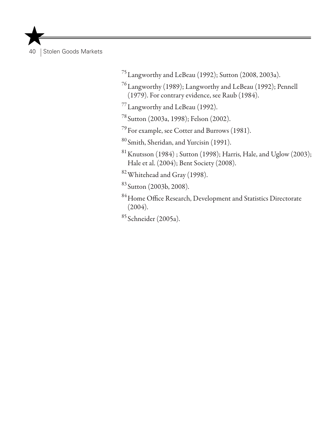75Langworthy and LeBeau (1992); Sutton (2008, 2003a).

76Langworthy (1989); Langworthy and LeBeau (1992); Pennell (1979). For contrary evidence, see Raub (1984).

77Langworthy and LeBeau (1992).

<sup>78</sup> Sutton (2003a, 1998); Felson (2002).

79For example, see Cotter and Burrows (1981).

<sup>80</sup> Smith, Sheridan, and Yurcisin (1991).

 $81$  Knutsson (1984); Sutton (1998); Harris, Hale, and Uglow (2003); Hale et al. (2004); Bent Society (2008).

82Whitehead and Gray (1998).

<sup>83</sup> Sutton (2003b, 2008).

84 Home Office Research, Development and Statistics Directorate (2004).

<sup>85</sup> Schneider (2005a).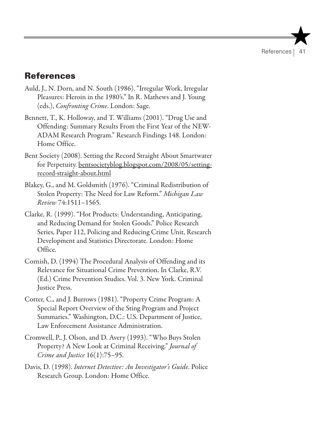## **References**

- Auld, J., N. Dorn, and N. South (1986). "Irregular Work, Irregular Pleasures: Heroin in the 1980's." In R. Mathews and J. Young (eds.), *Confronting Crime*. London: Sage.
- Bennett, T., K. Holloway, and T. Williams (2001). "Drug Use and Offending: Summary Results From the First Year of the NEW-ADAM Research Program." Research Findings 148. London: Home Office.
- Bent Society (2008). Setting the Record Straight About Smartwater for Perpetuity. bentsocietyblog.blogspot.com/2008/05/settingrecord-straight-about.html
- Blakey, G., and M. Goldsmith (1976). "Criminal Redistribution of Stolen Property: The Need for Law Reform." *Michigan Law Review* 74:1511–1565.
- Clarke, R. (1999). "Hot Products: Understanding, Anticipating, and Reducing Demand for Stolen Goods." Police Research Series, Paper 112, Policing and Reducing Crime Unit, Research Development and Statistics Directorate. London: Home Office.
- Cornish, D. (1994) The Procedural Analysis of Offending and its Relevance for Situational Crime Prevention. In Clarke, R.V. (Ed.) Crime Prevention Studies. Vol. 3. New York. Criminal Justice Press.
- Cotter, C., and J. Burrows (1981). "Property Crime Program: A Special Report Overview of the Sting Program and Project Summaries." Washington, D.C.: U.S. Department of Justice, Law Enforcement Assistance Administration.
- Cromwell, P., J. Olson, and D. Avery (1993). "Who Buys Stolen Property? A New Look at Criminal Receiving." *Journal of Crime and Justice* 16(1):75–95.
- Davis, D. (1998). *Internet Detective: An Investigator's Guide*. Police Research Group. London: Home Office.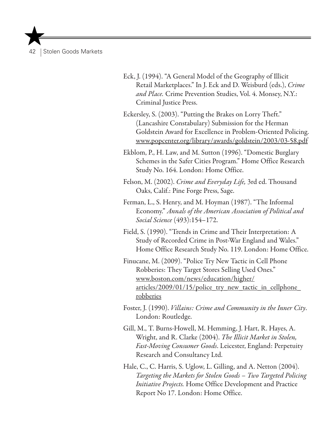Eck, J. (1994). "A General Model of the Geography of Illicit Retail Marketplaces." In J. Eck and D. Weisburd (eds.), *Crime and Place.* Crime Prevention Studies, Vol. 4. Monsey, N.Y.: Criminal Justice Press.

Eckersley, S. (2003). "Putting the Brakes on Lorry Theft." (Lancashire Constabulary) Submission for the Herman Goldstein Award for Excellence in Problem-Oriented Policing. www.popcenter.org/library/awards/goldstein/2003/03-58.pdf

Ekblom, P., H. Law, and M. Sutton (1996). "Domestic Burglary Schemes in the Safer Cities Program." Home Office Research Study No. 164. London: Home Office.

- Felson, M. (2002). *Crime and Everyday Life,* 3rd ed. Thousand Oaks, Calif.: Pine Forge Press, Sage.
- Ferman, L., S. Henry, and M. Hoyman (1987). "The Informal Economy." *Annals of the American Association of Political and Social Science* (493):154–172.

Field, S. (1990). "Trends in Crime and Their Interpretation: A Study of Recorded Crime in Post-War England and Wales." Home Office Research Study No. 119. London: Home Office.

Finucane, M. (2009). "Police Try New Tactic in Cell Phone Robberies: They Target Stores Selling Used Ones." www.boston.com/news/education/higher/ articles/2009/01/15/police\_try\_new\_tactic\_in\_cellphone\_ robberies

- Foster, J. (1990). *Villains: Crime and Community in the Inner City*. London: Routledge.
- Gill, M., T. Burns-Howell, M. Hemming, J. Hart, R. Hayes, A. Wright, and R. Clarke (2004). *The Illicit Market in Stolen, Fast-Moving Consumer Goods*. Leicester, England: Perpetuity Research and Consultancy Ltd.
- Hale, C., C. Harris, S. Uglow, L. Gilling, and A. Netton (2004). *Targeting the Markets for Stolen Goods – Two Targeted Policing Initiative Projects.* Home Office Development and Practice Report No 17. London: Home Office.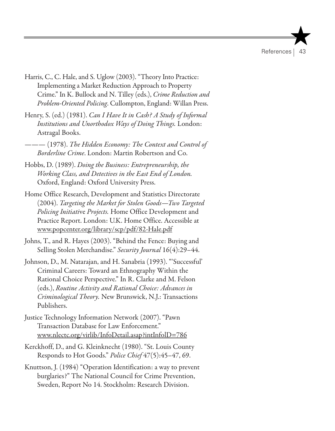- Harris, C., C. Hale, and S. Uglow (2003). "Theory Into Practice: Implementing a Market Reduction Approach to Property Crime." In K. Bullock and N. Tilley (eds.), *Crime Reduction and Problem-Oriented Policing*. Cullompton, England: Willan Press.
- Henry, S. (ed.) (1981). *Can I Have It in Cash? A Study of Informal Institutions and Unorthodox Ways of Doing Things.* London: Astragal Books.
- ——— (1978). *The Hidden Economy: The Context and Control of Borderline Crime*. London: Martin Robertson and Co.
- Hobbs, D. (1989). *Doing the Business: Entrepreneurship, the Working Class, and Detectives in the East End of London.*  Oxford, England: Oxford University Press.
- Home Office Research, Development and Statistics Directorate (2004). *Targeting the Market for Stolen Goods—Two Targeted Policing Initiati*ve *Projects.* Home Office Development and Practice Report. London: U.K. Home Office. Accessible at www.popcenter.org/library/scp/pdf/82-Hale.pdf
- Johns, T., and R. Hayes (2003). "Behind the Fence: Buying and Selling Stolen Merchandise." *Security Journal* 16(4):29–44.
- Johnson, D., M. Natarajan, and H. Sanabria (1993). "'Successful' Criminal Careers: Toward an Ethnography Within the Rational Choice Perspective." In R. Clarke and M. Felson (eds.), *Routine Activity and Rational Choice: Advances in Criminological Theory.* New Brunswick, N.J.: Transactions Publishers.
- Justice Technology Information Network (2007). "Pawn Transaction Database for Law Enforcement." www.nlectc.org/virlib/InfoDetail.asap?intInfolD=786
- Kerckhoff, D., and G. Kleinknecht (1980). "St. Louis County Responds to Hot Goods." *Police Chief* 47(5):45–47, 69.
- Knuttson, J. (1984) "Operation Identification: a way to prevent burglaries?" The National Council for Crime Prevention, Sweden, Report No 14. Stockholm: Research Division.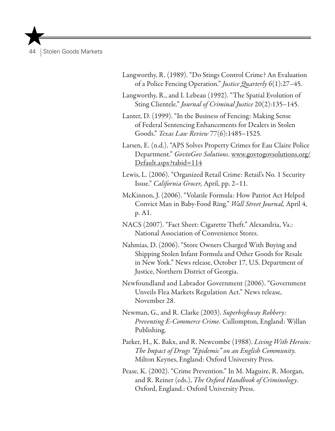- Langworthy, R. (1989). "Do Stings Control Crime? An Evaluation of a Police Fencing Operation." *Justice Quarterly* 6(1):27–45.
- Langworthy, R., and I. Lebeau (1992). "The Spatial Evolution of Sting Clientele." *Journal of Criminal Justice* 20(2):135–145.
- Lanter, D. (1999). "In the Business of Fencing: Making Sense of Federal Sentencing Enhancements for Dealers in Stolen Goods." *Texas Law Review* 77(6):1485–1525.
- Larsen, E. (n.d.). "APS Solves Property Crimes for Eau Claire Police Department." *GovtoGov Solutions*. www.govtogovsolutions.org/ Default.aspx?tabid=114
- Lewis, L. (2006). "Organized Retail Crime: Retail's No. 1 Security Issue." *California Grocer,* April, pp. 2–11.
- McKinnon, J. (2006). "Volatile Formula: How Patriot Act Helped Convict Man in Baby-Food Ring." *Wall Street Journal,* April 4, p. A1.
- NACS (2007). "Fact Sheet: Cigarette Theft." Alexandria, Va.: National Association of Convenience Stores.
- Nahmias, D. (2006). "Store Owners Charged With Buying and Shipping Stolen Infant Formula and Other Goods for Resale in New York." News release, October 17, U.S. Department of Justice, Northern District of Georgia.
- Newfoundland and Labrador Government (2006). "Government Unveils Flea Markets Regulation Act." News release, November 28.
- Newman, G., and R. Clarke (2003). *Superhighway Robbery: Preventing E-Commerce Crime.* Cullompton, England: Willan Publishing.
- Parker, H., K. Bakx, and R. Newcombe (1988). *Living With Heroin: The Impact of Drugs "Epidemic" on an English Community.* Milton Keynes, England: Oxford University Press.
- Pease, K. (2002). "Crime Prevention." In M. Maguire, R. Morgan, and R. Reiner (eds.), *The Oxford Handbook of Criminology*. Oxford, England.: Oxford University Press.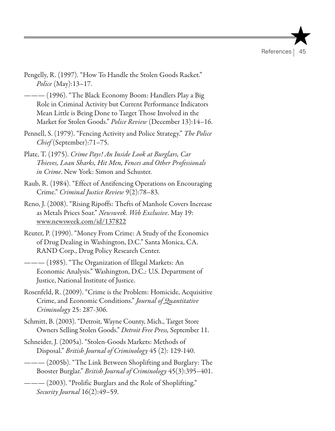- Pengelly, R. (1997). "How To Handle the Stolen Goods Racket." *Police* (May):13–17.
- ——— (1996). "The Black Economy Boom: Handlers Play a Big Role in Criminal Activity but Current Performance Indicators Mean Little is Being Done to Target Those Involved in the Market for Stolen Goods." *Police Review* (December 13):14–16.
- Pennell, S. (1979). "Fencing Activity and Police Strategy." *The Police Chief* (September):71–75.
- Plate, T. (1975). *Crime Pays! An Inside Look at Burglars, Car Thieves, Loan Sharks, Hit Men, Fences and Other Professionals in Crime*. New York: Simon and Schuster.
- Raub, R. (1984). "Effect of Antifencing Operations on Encouraging Crime." *Criminal Justice Review* 9(2):78–83.
- Reno, J. (2008). "Rising Ripoffs: Thefts of Manhole Covers Increase as Metals Prices Soar." *Newsweek. Web Exclusive*. May 19: www.newsweek.com/id/137822
- Reuter, P. (1990). "Money From Crime: A Study of the Economics of Drug Dealing in Washington, D.C." Santa Monica, CA. RAND Corp., Drug Policy Research Center.
- ——— (1985). "The Organization of Illegal Markets: An Economic Analysis." Washington, D.C.: U.S. Department of Justice, National Institute of Justice.
- Rosenfeld, R. (2009). "Crime is the Problem: Homicide, Acquisitive Crime, and Economic Conditions." *Journal of Quantitative Criminology* 25: 287-306.
- Schmitt, B. (2003). "Detroit, Wayne County, Mich., Target Store Owners Selling Stolen Goods." *Detroit Free Press,* September 11.
- Schneider, J. (2005a). "Stolen-Goods Markets: Methods of Disposal." *British Journal of Criminology* 45 (2): 129-140.
- ——— (2005b). "The Link Between Shoplifting and Burglary: The Booster Burglar." *British Journal of Criminology* 45(3):395–401.
- ——— (2003). "Prolific Burglars and the Role of Shoplifting." *Security Journal* 16(2):49–59.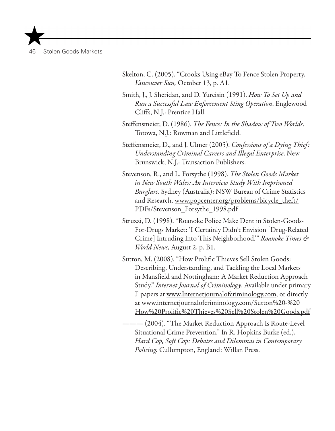- Skelton, C. (2005). "Crooks Using eBay To Fence Stolen Property. *Vancouver Sun,* October 13, p. A1.
- Smith, J., J. Sheridan, and D. Yurcisin (1991). *How To Set Up and Run a Successful Law Enforcement Sting Operation*. Englewood Cliffs, N.J.: Prentice Hall.
- Steffensmeier, D. (1986). *The Fence: In the Shadow of Two Worlds*. Totowa, N.J.: Rowman and Littlefield.
- Steffensmeier, D., and J. Ulmer (2005). *Confessions of a Dying Thief: Understanding Criminal Careers and Illegal Enterprise*. New Brunswick, N.J.: Transaction Publishers.
- Stevenson, R., and L. Forsythe (1998). *The Stolen Goods Market in New South Wales: An Interview Study With Imprisoned Burglars.* Sydney (Australia): NSW Bureau of Crime Statistics and Research. www.popcenter.org/problems/bicycle\_theft/ PDFs/Stevenson\_Forsythe\_1998.pdf
- Struzzi, D. (1998). "Roanoke Police Make Dent in Stolen-Goods-For-Drugs Market: 'I Certainly Didn't Envision [Drug-Related Crime] Intruding Into This Neighborhood.'" *Roanoke Times & World News,* August 2, p. B1.
- Sutton, M. (2008). "How Prolific Thieves Sell Stolen Goods: Describing, Understanding, and Tackling the Local Markets in Mansfield and Nottingham: A Market Reduction Approach Study." *Internet Journal of Criminology*. Available under primary F papers at www.Internetjournalofcriminology.com, or directly at www.internetjournalofcriminology.com/Sutton%20-%20 How%20Prolific%20Thieves%20Sell%20Stolen%20Goods.pdf
- ——— (2004). "The Market Reduction Approach Is Route-Level Situational Crime Prevention." In R. Hopkins Burke (ed.), *Hard Cop, Soft Cop: Debates and Dilemmas in Contemporary Policing.* Cullumpton, England: Willan Press.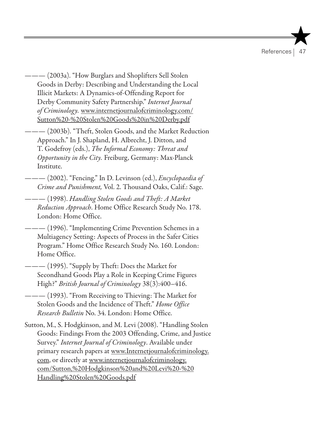References |

- ——— (2003a). "How Burglars and Shoplifters Sell Stolen Goods in Derby: Describing and Understanding the Local Illicit Markets: A Dynamics-of-Offending Report for Derby Community Safety Partnership." *Internet Journal of Criminology.* www.internetjournalofcriminology.com/ Sutton%20-%20Stolen%20Goods%20in%20Derby.pdf
- ——— (2003b). "Theft, Stolen Goods, and the Market Reduction Approach." In J. Shapland, H. Albrecht, J. Ditton, and T. Godefroy (eds.), *The Informal Economy: Threat and Opportunity in the City.* Freiburg, Germany: Max-Planck Institute.
- ——— (2002). "Fencing." In D. Levinson (ed.), *Encyclopaedia of Crime and Punishment,* Vol. 2. Thousand Oaks, Calif.: Sage.
- ——— (1998). *Handling Stolen Goods and Theft: A Market Reduction Approach*. Home Office Research Study No. 178. London: Home Office.
- ——— (1996). "Implementing Crime Prevention Schemes in a Multiagency Setting: Aspects of Process in the Safer Cities Program." Home Office Research Study No. 160. London: Home Office.
- —— (1995). "Supply by Theft: Does the Market for Secondhand Goods Play a Role in Keeping Crime Figures High?" *British Journal of Criminology* 38(3):400–416.
- ——— (1993). "From Receiving to Thieving: The Market for Stolen Goods and the Incidence of Theft." *Home Office Research Bulletin* No. 34. London: Home Office.
- Sutton, M., S. Hodgkinson, and M. Levi (2008). "Handling Stolen Goods: Findings From the 2003 Offending, Crime, and Justice Survey." *Internet Journal of Criminology*. Available under primary research papers at www.Internetjournalofcriminology. com, or directly at www.internetjournalofcriminology. com/Sutton,%20Hodgkinson%20and%20Levi%20-%20 Handling%20Stolen%20Goods.pdf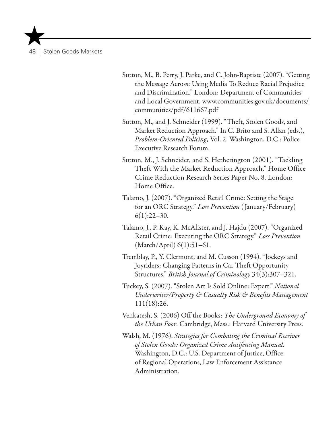Sutton, M., B. Perry, J. Parke, and C. John-Baptiste (2007). "Getting the Message Across: Using Media To Reduce Racial Prejudice and Discrimination." London: Department of Communities and Local Government. www.communities.gov.uk/documents/ communities/pdf/611667.pdf

Sutton, M., and J. Schneider (1999). "Theft, Stolen Goods, and Market Reduction Approach." In C. Brito and S. Allan (eds.), *Problem-Oriented Policing,* Vol. 2. Washington, D.C.: Police Executive Research Forum.

- Sutton, M., J. Schneider, and S. Hetherington (2001). "Tackling Theft With the Market Reduction Approach." Home Office Crime Reduction Research Series Paper No. 8. London: Home Office.
- Talamo, J. (2007). "Organized Retail Crime: Setting the Stage for an ORC Strategy." *Loss Prevention* ( January/February)  $6(1):22-30.$
- Talamo, J., P. Kay, K. McAlister, and J. Hajdu (2007). "Organized Retail Crime: Executing the ORC Strategy." *Loss Prevention* (March/April) 6(1):51–61.
- Tremblay, P., Y. Clermont, and M. Cusson (1994). "Jockeys and Joyriders: Changing Patterns in Car Theft Opportunity Structures." *British Journal of Criminology* 34(3):307–321.
- Tuckey, S. (2007). "Stolen Art Is Sold Online: Expert." *National Underwriter/Property & Casualty Risk & Benefits Management* 111(18):26.
- Venkatesh, S. (2006) Off the Books: *The Underground Economy of the Urban Poor*. Cambridge, Mass.: Harvard University Press.
- Walsh, M. (1976). *Strategies for Combating the Criminal Receiver of Stolen Goods: Organized Crime Antifencing Manual.*  Washington, D.C.: U.S. Department of Justice, Office of Regional Operations, Law Enforcement Assistance Administration.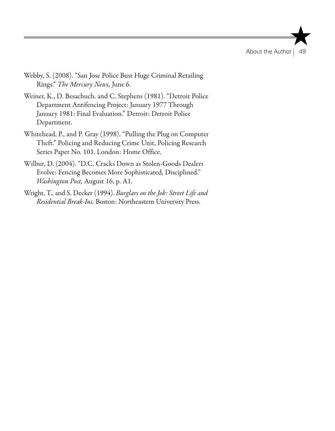- Webby, S. (2008). "San Jose Police Bust Huge Criminal Retailing Rings." *The Mercury News,* June 6.
- Weiner, K., D. Besachuch. and C. Stephens (1981). "Detroit Police Department Antifencing Project: January 1977 Through January 1981: Final Evaluation." Detroit: Detroit Police Department.
- Whitehead, P., and P. Gray (1998). "Pulling the Plug on Computer Theft." Policing and Reducing Crime Unit, Policing Research Series Paper No. 101. London: Home Office.
- Wilbur, D. (2004). "D.C. Cracks Down as Stolen-Goods Dealers Evolve: Fencing Becomes More Sophisticated, Disciplined." *Washington Post,* August 16, p. A1.
- Wright, T., and S. Decker (1994). *Burglars on the Job: Street Life and Residential Break-Ins.* Boston: Northeastern University Press.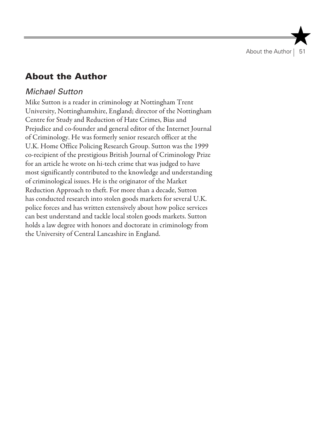About the Author | 51

## About the Author

## *Michael Sutton*

Mike Sutton is a reader in criminology at Nottingham Trent University, Nottinghamshire, England; director of the Nottingham Centre for Study and Reduction of Hate Crimes, Bias and Prejudice and co-founder and general editor of the Internet Journal of Criminology. He was formerly senior research officer at the U.K. Home Office Policing Research Group. Sutton was the 1999 co-recipient of the prestigious British Journal of Criminology Prize for an article he wrote on hi-tech crime that was judged to have most significantly contributed to the knowledge and understanding of criminological issues. He is the originator of the Market Reduction Approach to theft. For more than a decade, Sutton has conducted research into stolen goods markets for several U.K. police forces and has written extensively about how police services can best understand and tackle local stolen goods markets. Sutton holds a law degree with honors and doctorate in criminology from the University of Central Lancashire in England.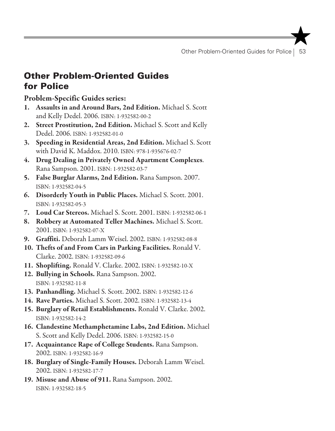Other Problem-Oriented Guides for Police | 53

## Other Problem-Oriented Guides for Police

Problem-Specific Guides series:

- 1. Assaults in and Around Bars, 2nd Edition. Michael S. Scott and Kelly Dedel. 2006. ISBN: 1-932582-00-2
- 2. Street Prostitution, 2nd Edition. Michael S. Scott and Kelly Dedel. 2006. ISBN: 1-932582-01-0
- 3. Speeding in Residential Areas, 2nd Edition. Michael S. Scott with David K. Maddox. 2010. ISBN: 978-1-935676-02-7
- 4. Drug Dealing in Privately Owned Apartment Complexes. Rana Sampson. 2001. ISBN: 1-932582-03-7
- 5. False Burglar Alarms, 2nd Edition. Rana Sampson. 2007. ISBN: 1-932582-04-5
- 6. Disorderly Youth in Public Places. Michael S. Scott. 2001. ISBN: 1-932582-05-3
- 7. Loud Car Stereos. Michael S. Scott. 2001. ISBN: 1-932582-06-1
- 8. Robbery at Automated Teller Machines. Michael S. Scott. 2001. ISBN: 1-932582-07-X
- 9. Graffiti. Deborah Lamm Weisel. 2002. ISBN: 1-932582-08-8
- 10. Thefts of and From Cars in Parking Facilities. Ronald V. Clarke. 2002. ISBN: 1-932582-09-6
- 11. Shoplifting. Ronald V. Clarke. 2002. ISBN: 1-932582-10-X
- 12. Bullying in Schools. Rana Sampson. 2002. ISBN: 1-932582-11-8
- 13. Panhandling. Michael S. Scott. 2002. ISBN: 1-932582-12-6
- 14. Rave Parties. Michael S. Scott. 2002. ISBN: 1-932582-13-4
- 15. Burglary of Retail Establishments. Ronald V. Clarke. 2002. ISBN: 1-932582-14-2
- 16. Clandestine Methamphetamine Labs, 2nd Edition. Michael S. Scott and Kelly Dedel. 2006. ISBN: 1-932582-15-0
- 17. Acquaintance Rape of College Students. Rana Sampson. 2002. ISBN: 1-932582-16-9
- 18. Burglary of Single-Family Houses. Deborah Lamm Weisel. 2002. ISBN: 1-932582-17-7
- 19. Misuse and Abuse of 911. Rana Sampson. 2002. ISBN: 1-932582-18-5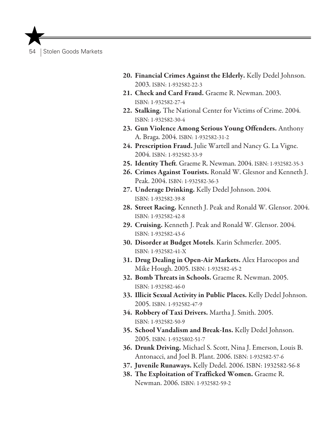- 20. Financial Crimes Against the Elderly. Kelly Dedel Johnson. 2003. ISBN: 1-932582-22-3
- 21. Check and Card Fraud. Graeme R. Newman. 2003. ISBN: 1-932582-27-4
- 22. Stalking. The National Center for Victims of Crime. 2004. ISBN: 1-932582-30-4
- 23. Gun Violence Among Serious Young Offenders. Anthony A. Braga. 2004. ISBN: 1-932582-31-2
- 24. Prescription Fraud. Julie Wartell and Nancy G. La Vigne. 2004. ISBN: 1-932582-33-9
- 25. Identity Theft. Graeme R. Newman. 2004. ISBN: 1-932582-35-3
- 26. Crimes Against Tourists. Ronald W. Glesnor and Kenneth J. Peak. 2004. ISBN: 1-932582-36-3
- 27. Underage Drinking. Kelly Dedel Johnson. 2004. ISBN: 1-932582-39-8
- 28. Street Racing. Kenneth J. Peak and Ronald W. Glensor. 2004. ISBN: 1-932582-42-8
- 29. Cruising. Kenneth J. Peak and Ronald W. Glensor. 2004. ISBN: 1-932582-43-6
- 30. Disorder at Budget Motels. Karin Schmerler. 2005. ISBN: 1-932582-41-X
- 31. Drug Dealing in Open-Air Markets. Alex Harocopos and Mike Hough. 2005. ISBN: 1-932582-45-2
- 32. Bomb Threats in Schools. Graeme R. Newman. 2005. ISBN: 1-932582-46-0
- 33. Illicit Sexual Activity in Public Places. Kelly Dedel Johnson. 2005. ISBN: 1-932582-47-9
- 34. Robbery of Taxi Drivers. Martha J. Smith. 2005. ISBN: 1-932582-50-9
- 35. School Vandalism and Break-Ins. Kelly Dedel Johnson. 2005. ISBN: 1-9325802-51-7
- 36. Drunk Driving. Michael S. Scott, Nina J. Emerson, Louis B. Antonacci, and Joel B. Plant. 2006. ISBN: 1-932582-57-6
- 37. Juvenile Runaways. Kelly Dedel. 2006. ISBN: 1932582-56-8
- 38. The Exploitation of Trafficked Women. Graeme R. Newman. 2006. ISBN: 1-932582-59-2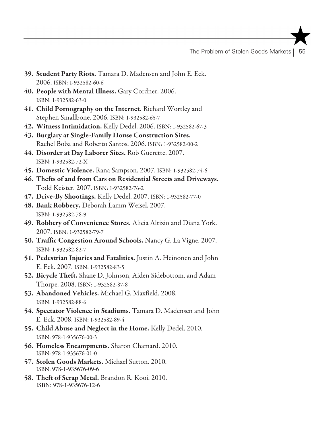The Problem of Stolen Goods Markets | 55

- 39. Student Party Riots. Tamara D. Madensen and John E. Eck. 2006. ISBN: 1-932582-60-6
- 40. People with Mental Illness. Gary Cordner. 2006. ISBN: 1-932582-63-0
- 41. Child Pornography on the Internet. Richard Wortley and Stephen Smallbone. 2006. ISBN: 1-932582-65-7
- 42. Witness Intimidation. Kelly Dedel. 2006. ISBN: 1-932582-67-3
- 43. Burglary at Single-Family House Construction Sites. Rachel Boba and Roberto Santos. 2006. ISBN: 1-932582-00-2
- 44. Disorder at Day Laborer Sites. Rob Guerette. 2007. ISBN: 1-932582-72-X
- 45. Domestic Violence. Rana Sampson. 2007. ISBN: 1-932582-74-6
- 46. Thefts of and from Cars on Residential Streets and Driveways. Todd Keister. 2007. ISBN: 1-932582-76-2
- 47. Drive-By Shootings. Kelly Dedel. 2007. ISBN: 1-932582-77-0
- 48. Bank Robbery. Deborah Lamm Weisel. 2007. ISBN: 1-932582-78-9
- 49. Robbery of Convenience Stores. Alicia Altizio and Diana York. 2007. ISBN: 1-932582-79-7
- 50. Traffic Congestion Around Schools. Nancy G. La Vigne. 2007. ISBN: 1-932582-82-7
- 51. Pedestrian Injuries and Fatalities. Justin A. Heinonen and John E. Eck. 2007. ISBN: 1-932582-83-5
- 52. Bicycle Theft. Shane D. Johnson, Aiden Sidebottom, and Adam Thorpe. 2008. ISBN: 1-932582-87-8
- 53. Abandoned Vehicles. Michael G. Maxfield. 2008. ISBN: 1-932582-88-6
- 54. Spectator Violence in Stadiums. Tamara D. Madensen and John E. Eck. 2008. ISBN: 1-932582-89-4
- 55. Child Abuse and Neglect in the Home. Kelly Dedel. 2010. ISBN: 978-1-935676-00-3
- 56. Homeless Encampments. Sharon Chamard. 2010. ISBN: 978-1-935676-01-0
- 57. Stolen Goods Markets. Michael Sutton. 2010. ISBN: 978-1-935676-09-6
- 58. Theft of Scrap Metal. Brandon R. Kooi. 2010. ISBN: 978-1-935676-12-6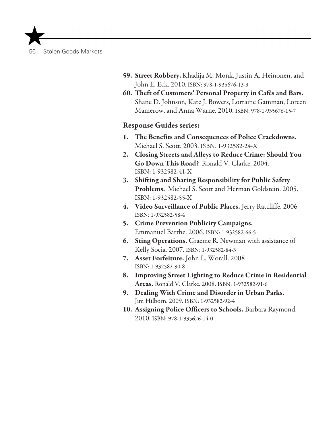- 59. Street Robbery. Khadija M. Monk, Justin A. Heinonen, and John E. Eck. 2010. ISBN: 978-1-935676-13-3
- 60. Theft of Customers' Personal Property in Cafés and Bars. Shane D. Johnson, Kate J. Bowers, Lorraine Gamman, Loreen Mamerow, and Anna Warne. 2010. ISBN: 978-1-935676-15-7

#### Response Guides series:

- 1. The Benefits and Consequences of Police Crackdowns. Michael S. Scott. 2003. ISBN: 1-932582-24-X
- 2. Closing Streets and Alleys to Reduce Crime: Should You Go Down This Road? Ronald V. Clarke. 2004. ISBN: 1-932582-41-X
- 3. Shifting and Sharing Responsibility for Public Safety Problems. Michael S. Scott and Herman Goldstein. 2005. ISBN: 1-932582-55-X
- 4. Video Surveillance of Public Places. Jerry Ratcliffe. 2006 ISBN: 1-932582-58-4
- 5. Crime Prevention Publicity Campaigns. Emmanuel Barthe. 2006. ISBN: 1-932582-66-5
- 6. Sting Operations. Graeme R. Newman with assistance of Kelly Socia. 2007. ISBN: 1-932582-84-3
- 7. Asset Forfeiture. John L. Worall. 2008 ISBN: 1-932582-90-8
- 8. Improving Street Lighting to Reduce Crime in Residential Areas. Ronald V. Clarke. 2008. ISBN: 1-932582-91-6
- 9. Dealing With Crime and Disorder in Urban Parks. Jim Hilborn. 2009. ISBN: 1-932582-92-4
- 10. Assigning Police Officers to Schools. Barbara Raymond. 2010. ISBN: 978-1-935676-14-0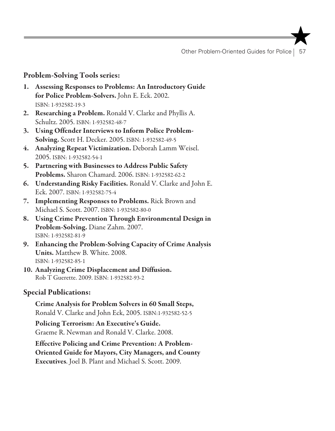Other Problem-Oriented Guides for Police | 57

#### Problem-Solving Tools series:

- 1. Assessing Responses to Problems: An Introductory Guide for Police Problem-Solvers. John E. Eck. 2002. ISBN: 1-932582-19-3
- 2. Researching a Problem. Ronald V. Clarke and Phyllis A. Schultz. 2005. ISBN: 1-932582-48-7
- 3. Using Offender Interviews to Inform Police Problem-Solving. Scott H. Decker. 2005. ISBN: 1-932582-49-5
- 4. Analyzing Repeat Victimization. Deborah Lamm Weisel. 2005. ISBN: 1-932582-54-1
- 5. Partnering with Businesses to Address Public Safety Problems. Sharon Chamard. 2006. ISBN: 1-932582-62-2
- 6. Understanding Risky Facilities. Ronald V. Clarke and John E. Eck. 2007. ISBN: 1-932582-75-4
- 7. Implementing Responses to Problems. Rick Brown and Michael S. Scott. 2007. ISBN: 1-932582-80-0
- 8. Using Crime Prevention Through Environmental Design in Problem-Solving. Diane Zahm. 2007. ISBN: 1-932582-81-9
- 9. Enhancing the Problem-Solving Capacity of Crime Analysis Units. Matthew B. White. 2008. ISBN: 1-932582-85-1
- 10. Analyzing Crime Displacement and Diffusion. Rob T Guerette. 2009. ISBN: 1-932582-93-2

#### Special Publications:

Crime Analysis for Problem Solvers in 60 Small Steps, Ronald V. Clarke and John Eck, 2005. ISBN:1-932582-52-5

Policing Terrorism: An Executive's Guide. Graeme R. Newman and Ronald V. Clarke. 2008.

Effective Policing and Crime Prevention: A Problem-Oriented Guide for Mayors, City Managers, and County Executives. Joel B. Plant and Michael S. Scott. 2009.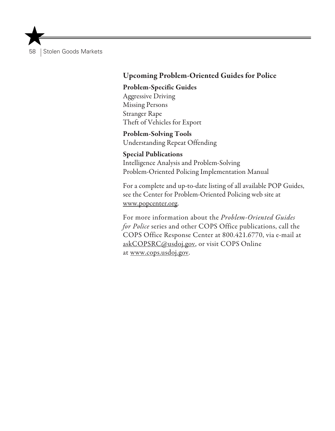## Upcoming Problem-Oriented Guides for Police

#### Problem-Specific Guides

Aggressive Driving Missing Persons Stranger Rape Theft of Vehicles for Export

Problem-Solving Tools Understanding Repeat Offending

#### Special Publications

Intelligence Analysis and Problem-Solving Problem-Oriented Policing Implementation Manual

For a complete and up-to-date listing of all available POP Guides, see the Center for Problem-Oriented Policing web site at www.popcenter.org.

For more information about the *Problem-Oriented Guides for Police* series and other COPS Office publications, call the COPS Office Response Center at 800.421.6770, via e-mail at askCOPSRC@usdoj.gov, or visit COPS Online at www.cops.usdoj.gov.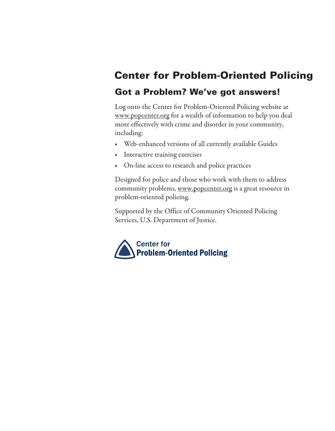# Center for Problem-Oriented Policing

## Got a Problem? We've got answers!

Log onto the Center for Problem-Oriented Policing website at www.popcenter.org for a wealth of information to help you deal more effectively with crime and disorder in your community, including:

- • Web-enhanced versions of all currently available Guides
- Interactive training exercises
- • On-line access to research and police practices

Designed for police and those who work with them to address community problems, www.popcenter.org is a great resource in problem-oriented policing.

Supported by the Office of Community Oriented Policing Services, U.S. Department of Justice.